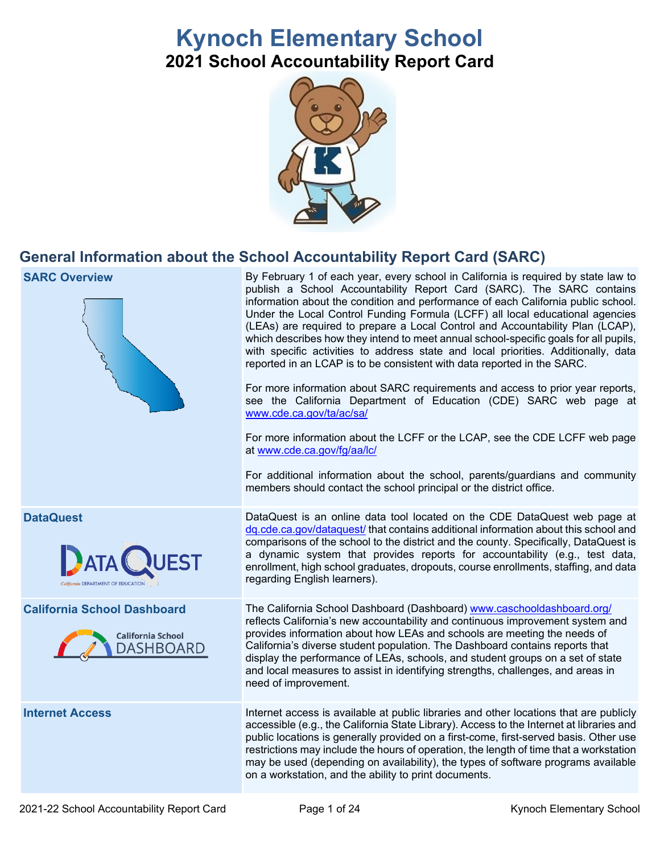# **Kynoch Elementary School 2021 School Accountability Report Card**



## **General Information about the School Accountability Report Card (SARC)**

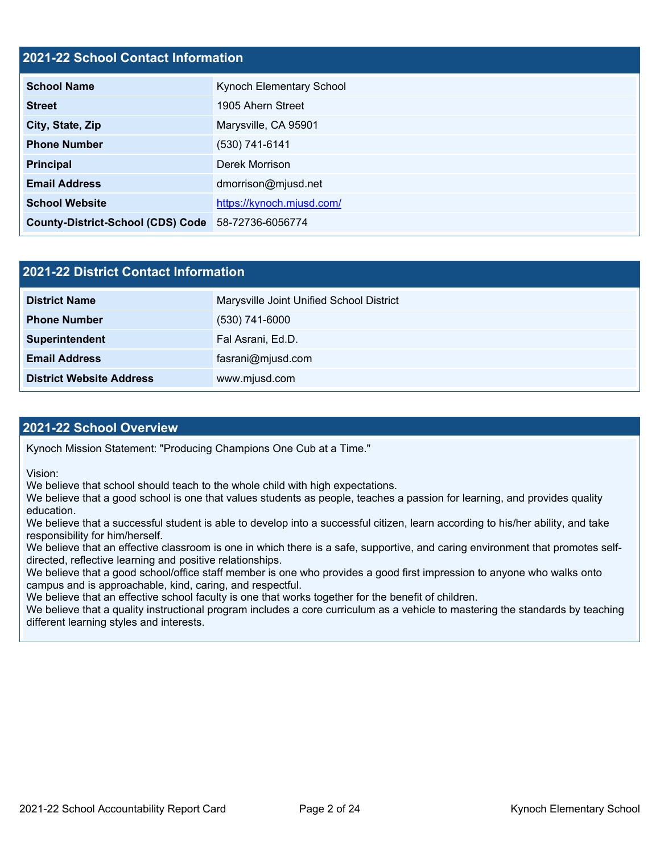## **2021-22 School Contact Information**

| <b>School Name</b>                       | Kynoch Elementary School  |  |  |  |  |
|------------------------------------------|---------------------------|--|--|--|--|
| <b>Street</b>                            | 1905 Ahern Street         |  |  |  |  |
| City, State, Zip                         | Marysville, CA 95901      |  |  |  |  |
| <b>Phone Number</b>                      | (530) 741-6141            |  |  |  |  |
| <b>Principal</b>                         | Derek Morrison            |  |  |  |  |
| <b>Email Address</b>                     | dmorrison@mjusd.net       |  |  |  |  |
| <b>School Website</b>                    | https://kynoch.mjusd.com/ |  |  |  |  |
| <b>County-District-School (CDS) Code</b> | 58-72736-6056774          |  |  |  |  |

## **2021-22 District Contact Information**

| <b>District Name</b>            | Marysville Joint Unified School District |  |  |  |  |
|---------------------------------|------------------------------------------|--|--|--|--|
| <b>Phone Number</b>             | $(530)$ 741-6000                         |  |  |  |  |
| Superintendent                  | Fal Asrani, Ed.D.                        |  |  |  |  |
| <b>Email Address</b>            | fasrani@mjusd.com                        |  |  |  |  |
| <b>District Website Address</b> | www.mjusd.com                            |  |  |  |  |

### **2021-22 School Overview**

Kynoch Mission Statement: "Producing Champions One Cub at a Time."

Vision:

We believe that school should teach to the whole child with high expectations.

We believe that a good school is one that values students as people, teaches a passion for learning, and provides quality education.

We believe that a successful student is able to develop into a successful citizen, learn according to his/her ability, and take responsibility for him/herself.

We believe that an effective classroom is one in which there is a safe, supportive, and caring environment that promotes selfdirected, reflective learning and positive relationships.

We believe that a good school/office staff member is one who provides a good first impression to anyone who walks onto campus and is approachable, kind, caring, and respectful.

We believe that an effective school faculty is one that works together for the benefit of children.

We believe that a quality instructional program includes a core curriculum as a vehicle to mastering the standards by teaching different learning styles and interests.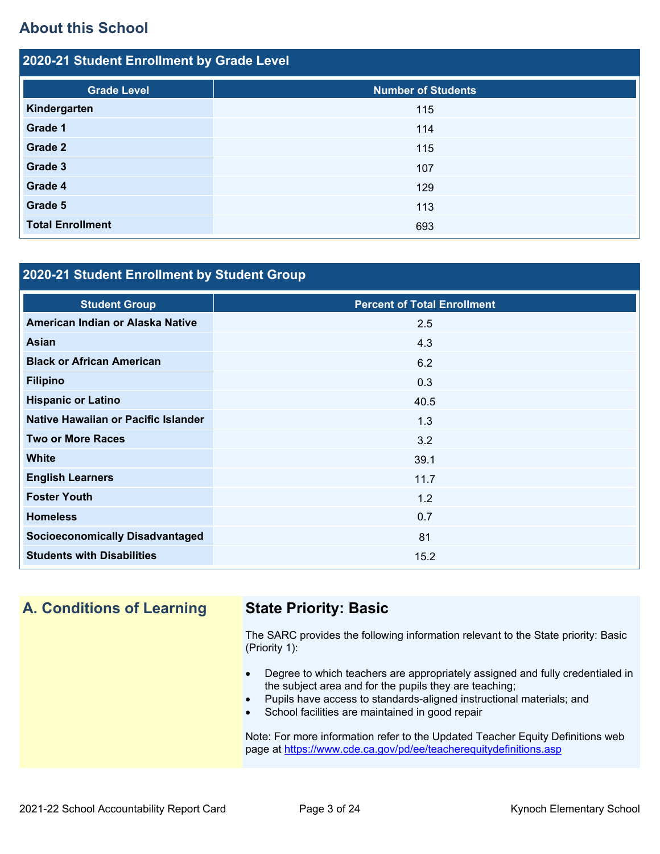## **About this School**

| 2020-21 Student Enrollment by Grade Level |                           |  |  |  |  |
|-------------------------------------------|---------------------------|--|--|--|--|
| <b>Grade Level</b>                        | <b>Number of Students</b> |  |  |  |  |
| Kindergarten                              | 115                       |  |  |  |  |
| Grade 1                                   | 114                       |  |  |  |  |
| <b>Grade 2</b>                            | 115                       |  |  |  |  |
| Grade 3                                   | 107                       |  |  |  |  |
| Grade 4                                   | 129                       |  |  |  |  |
| Grade 5                                   | 113                       |  |  |  |  |
| <b>Total Enrollment</b>                   | 693                       |  |  |  |  |

## **2020-21 Student Enrollment by Student Group**

| <b>Student Group</b>                   | <b>Percent of Total Enrollment</b> |
|----------------------------------------|------------------------------------|
| American Indian or Alaska Native       | 2.5                                |
| Asian                                  | 4.3                                |
| <b>Black or African American</b>       | 6.2                                |
| <b>Filipino</b>                        | 0.3                                |
| <b>Hispanic or Latino</b>              | 40.5                               |
| Native Hawaiian or Pacific Islander    | 1.3                                |
| <b>Two or More Races</b>               | 3.2                                |
| <b>White</b>                           | 39.1                               |
| <b>English Learners</b>                | 11.7                               |
| <b>Foster Youth</b>                    | 1.2                                |
| <b>Homeless</b>                        | 0.7                                |
| <b>Socioeconomically Disadvantaged</b> | 81                                 |
| <b>Students with Disabilities</b>      | 15.2                               |

## **A. Conditions of Learning State Priority: Basic**

The SARC provides the following information relevant to the State priority: Basic (Priority 1):

- Degree to which teachers are appropriately assigned and fully credentialed in the subject area and for the pupils they are teaching;
- Pupils have access to standards-aligned instructional materials; and
- School facilities are maintained in good repair

Note: For more information refer to the Updated Teacher Equity Definitions web page at<https://www.cde.ca.gov/pd/ee/teacherequitydefinitions.asp>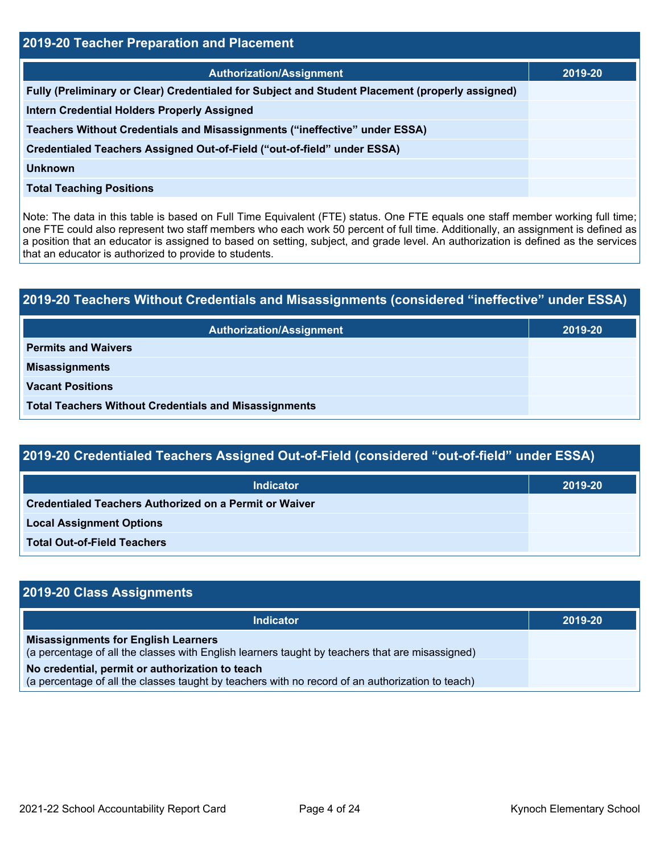| 2019-20 Teacher Preparation and Placement                                                       |         |  |  |  |
|-------------------------------------------------------------------------------------------------|---------|--|--|--|
| <b>Authorization/Assignment</b>                                                                 | 2019-20 |  |  |  |
| Fully (Preliminary or Clear) Credentialed for Subject and Student Placement (properly assigned) |         |  |  |  |
| <b>Intern Credential Holders Properly Assigned</b>                                              |         |  |  |  |
| Teachers Without Credentials and Misassignments ("ineffective" under ESSA)                      |         |  |  |  |
| Credentialed Teachers Assigned Out-of-Field ("out-of-field" under ESSA)                         |         |  |  |  |
| Unknown                                                                                         |         |  |  |  |
| <b>Total Teaching Positions</b>                                                                 |         |  |  |  |

Note: The data in this table is based on Full Time Equivalent (FTE) status. One FTE equals one staff member working full time; one FTE could also represent two staff members who each work 50 percent of full time. Additionally, an assignment is defined as a position that an educator is assigned to based on setting, subject, and grade level. An authorization is defined as the services that an educator is authorized to provide to students.

# **2019-20 Teachers Without Credentials and Misassignments (considered "ineffective" under ESSA) Authorization/Assignment 2019-20 Permits and Waivers Misassignments Vacant Positions Total Teachers Without Credentials and Misassignments**

| 2019-20 Credentialed Teachers Assigned Out-of-Field (considered "out-of-field" under ESSA) |         |  |  |  |
|--------------------------------------------------------------------------------------------|---------|--|--|--|
| Indicator                                                                                  | 2019-20 |  |  |  |
| <b>Credentialed Teachers Authorized on a Permit or Waiver</b>                              |         |  |  |  |
| <b>Local Assignment Options</b>                                                            |         |  |  |  |
| <b>Total Out-of-Field Teachers</b>                                                         |         |  |  |  |

| 2019-20 Class Assignments                                                                                                                           |         |
|-----------------------------------------------------------------------------------------------------------------------------------------------------|---------|
| <b>Indicator</b>                                                                                                                                    | 2019-20 |
| <b>Misassignments for English Learners</b><br>(a percentage of all the classes with English learners taught by teachers that are misassigned)       |         |
| No credential, permit or authorization to teach<br>(a percentage of all the classes taught by teachers with no record of an authorization to teach) |         |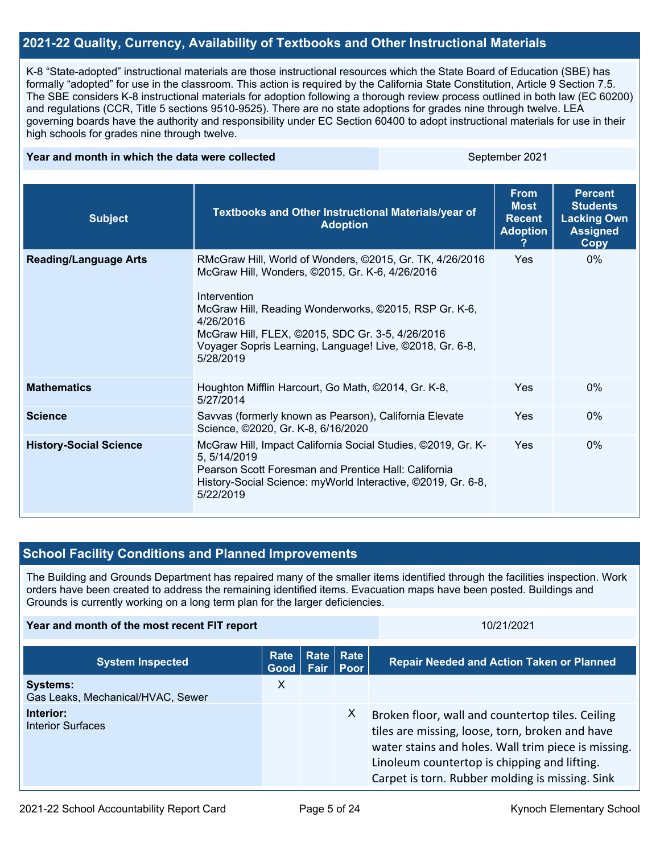## **2021-22 Quality, Currency, Availability of Textbooks and Other Instructional Materials**

K-8 "State-adopted" instructional materials are those instructional resources which the State Board of Education (SBE) has formally "adopted" for use in the classroom. This action is required by the California State Constitution, Article 9 Section 7.5. The SBE considers K-8 instructional materials for adoption following a thorough review process outlined in both law (EC 60200) and regulations (CCR, Title 5 sections 9510-9525). There are no state adoptions for grades nine through twelve. LEA governing boards have the authority and responsibility under EC Section 60400 to adopt instructional materials for use in their high schools for grades nine through twelve.

#### **Year and month in which the data were collected** September 2021

| <b>Subject</b>                | Textbooks and Other Instructional Materials/year of<br><b>Adoption</b>                                                                                                                                                                                                                                                         | <b>From</b><br><b>Most</b><br><b>Recent</b><br><b>Adoption</b> | <b>Percent</b><br><b>Students</b><br><b>Lacking Own</b><br><b>Assigned</b><br>Copy |
|-------------------------------|--------------------------------------------------------------------------------------------------------------------------------------------------------------------------------------------------------------------------------------------------------------------------------------------------------------------------------|----------------------------------------------------------------|------------------------------------------------------------------------------------|
| <b>Reading/Language Arts</b>  | RMcGraw Hill, World of Wonders, ©2015, Gr. TK, 4/26/2016<br>McGraw Hill, Wonders, ©2015, Gr. K-6, 4/26/2016<br>Intervention<br>McGraw Hill, Reading Wonderworks, ©2015, RSP Gr. K-6,<br>4/26/2016<br>McGraw Hill, FLEX, ©2015, SDC Gr. 3-5, 4/26/2016<br>Voyager Sopris Learning, Language! Live, ©2018, Gr. 6-8,<br>5/28/2019 | Yes                                                            | $0\%$                                                                              |
| <b>Mathematics</b>            | Houghton Mifflin Harcourt, Go Math, ©2014, Gr. K-8,<br>5/27/2014                                                                                                                                                                                                                                                               | Yes                                                            | $0\%$                                                                              |
| <b>Science</b>                | Savvas (formerly known as Pearson), California Elevate<br>Science, ©2020, Gr. K-8, 6/16/2020                                                                                                                                                                                                                                   | Yes                                                            | $0\%$                                                                              |
| <b>History-Social Science</b> | McGraw Hill, Impact California Social Studies, @2019, Gr. K-<br>5, 5/14/2019<br>Pearson Scott Foresman and Prentice Hall: California<br>History-Social Science: myWorld Interactive, ©2019, Gr. 6-8,<br>5/22/2019                                                                                                              | Yes                                                            | $0\%$                                                                              |

## **School Facility Conditions and Planned Improvements**

The Building and Grounds Department has repaired many of the smaller items identified through the facilities inspection. Work orders have been created to address the remaining identified items. Evacuation maps have been posted. Buildings and Grounds is currently working on a long term plan for the larger deficiencies.

| Year and month of the most recent FIT report | 10/21/2021 |
|----------------------------------------------|------------|
|----------------------------------------------|------------|

| <b>System Inspected</b>                              | Rate<br><b>Good</b> | Rate   Rate<br>Fair   Poor | <b>Repair Needed and Action Taken or Planned</b>                                                                                                                                                                                                              |
|------------------------------------------------------|---------------------|----------------------------|---------------------------------------------------------------------------------------------------------------------------------------------------------------------------------------------------------------------------------------------------------------|
| <b>Systems:</b><br>Gas Leaks, Mechanical/HVAC, Sewer | х                   |                            |                                                                                                                                                                                                                                                               |
| Interior:<br>Interior Surfaces                       |                     | X                          | Broken floor, wall and countertop tiles. Ceiling<br>tiles are missing, loose, torn, broken and have<br>water stains and holes. Wall trim piece is missing.<br>Linoleum countertop is chipping and lifting.<br>Carpet is torn. Rubber molding is missing. Sink |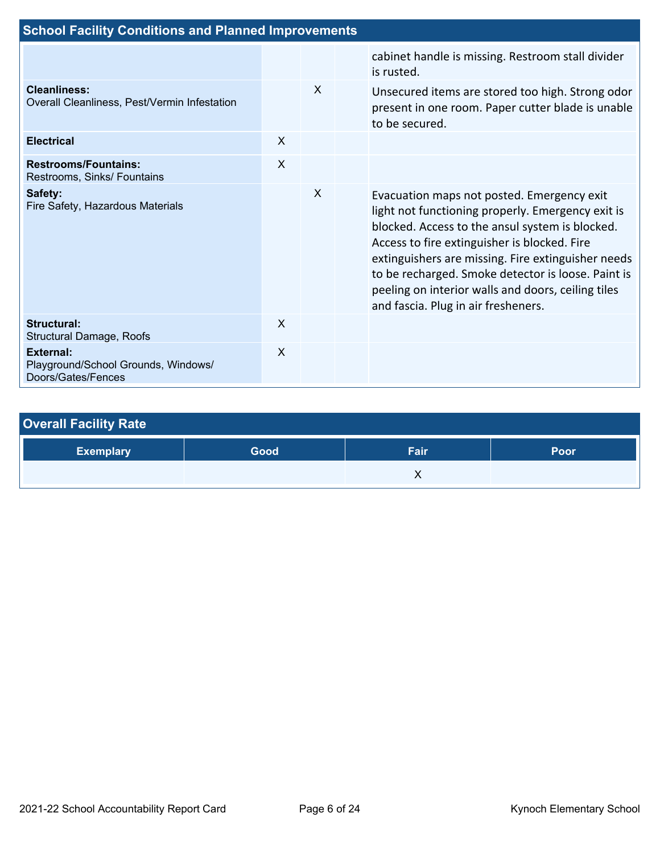| <b>School Facility Conditions and Planned Improvements</b>                    |              |          |  |                                                                                                                                                                                                                                                                                                                                                                                                             |  |
|-------------------------------------------------------------------------------|--------------|----------|--|-------------------------------------------------------------------------------------------------------------------------------------------------------------------------------------------------------------------------------------------------------------------------------------------------------------------------------------------------------------------------------------------------------------|--|
|                                                                               |              |          |  | cabinet handle is missing. Restroom stall divider<br>is rusted.                                                                                                                                                                                                                                                                                                                                             |  |
| <b>Cleanliness:</b><br>Overall Cleanliness, Pest/Vermin Infestation           |              | $\times$ |  | Unsecured items are stored too high. Strong odor<br>present in one room. Paper cutter blade is unable<br>to be secured.                                                                                                                                                                                                                                                                                     |  |
| <b>Electrical</b>                                                             | X            |          |  |                                                                                                                                                                                                                                                                                                                                                                                                             |  |
| <b>Restrooms/Fountains:</b><br>Restrooms, Sinks/ Fountains                    | $\mathsf{x}$ |          |  |                                                                                                                                                                                                                                                                                                                                                                                                             |  |
| Safety:<br>Fire Safety, Hazardous Materials                                   |              | X        |  | Evacuation maps not posted. Emergency exit<br>light not functioning properly. Emergency exit is<br>blocked. Access to the ansul system is blocked.<br>Access to fire extinguisher is blocked. Fire<br>extinguishers are missing. Fire extinguisher needs<br>to be recharged. Smoke detector is loose. Paint is<br>peeling on interior walls and doors, ceiling tiles<br>and fascia. Plug in air fresheners. |  |
| <b>Structural:</b><br><b>Structural Damage, Roofs</b>                         | $\mathsf{x}$ |          |  |                                                                                                                                                                                                                                                                                                                                                                                                             |  |
| <b>External:</b><br>Playground/School Grounds, Windows/<br>Doors/Gates/Fences | X            |          |  |                                                                                                                                                                                                                                                                                                                                                                                                             |  |

| <b>Overall Facility Rate</b> |      |      |      |  |  |  |  |
|------------------------------|------|------|------|--|--|--|--|
| <b>Exemplary</b>             | Good | Fair | Poor |  |  |  |  |
|                              |      |      |      |  |  |  |  |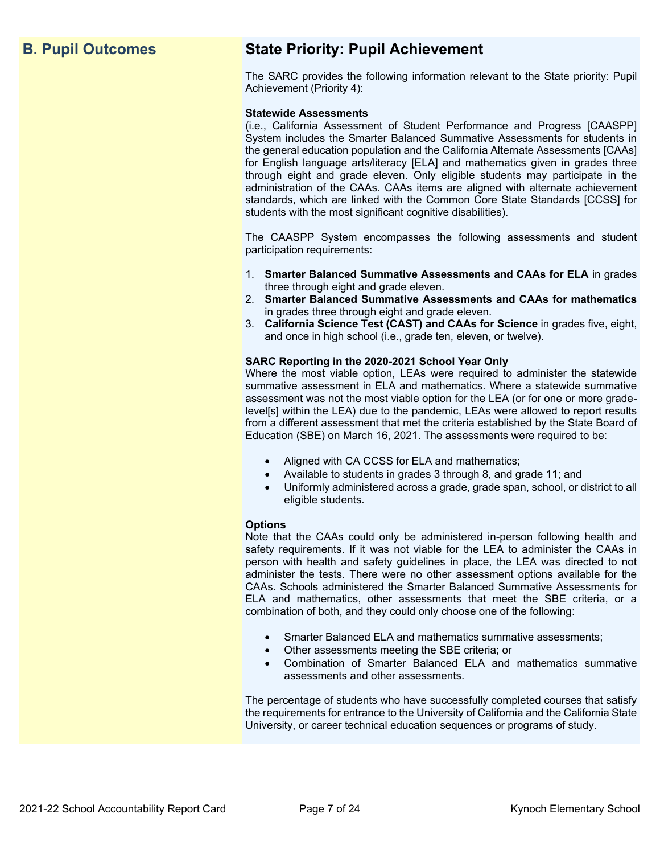## **B. Pupil Outcomes State Priority: Pupil Achievement**

The SARC provides the following information relevant to the State priority: Pupil Achievement (Priority 4):

#### **Statewide Assessments**

(i.e., California Assessment of Student Performance and Progress [CAASPP] System includes the Smarter Balanced Summative Assessments for students in the general education population and the California Alternate Assessments [CAAs] for English language arts/literacy [ELA] and mathematics given in grades three through eight and grade eleven. Only eligible students may participate in the administration of the CAAs. CAAs items are aligned with alternate achievement standards, which are linked with the Common Core State Standards [CCSS] for students with the most significant cognitive disabilities).

The CAASPP System encompasses the following assessments and student participation requirements:

- 1. **Smarter Balanced Summative Assessments and CAAs for ELA** in grades three through eight and grade eleven.
- 2. **Smarter Balanced Summative Assessments and CAAs for mathematics** in grades three through eight and grade eleven.
- 3. **California Science Test (CAST) and CAAs for Science** in grades five, eight, and once in high school (i.e., grade ten, eleven, or twelve).

#### **SARC Reporting in the 2020-2021 School Year Only**

Where the most viable option, LEAs were required to administer the statewide summative assessment in ELA and mathematics. Where a statewide summative assessment was not the most viable option for the LEA (or for one or more gradelevel[s] within the LEA) due to the pandemic, LEAs were allowed to report results from a different assessment that met the criteria established by the State Board of Education (SBE) on March 16, 2021. The assessments were required to be:

- Aligned with CA CCSS for ELA and mathematics;
- Available to students in grades 3 through 8, and grade 11; and
- Uniformly administered across a grade, grade span, school, or district to all eligible students.

#### **Options**

Note that the CAAs could only be administered in-person following health and safety requirements. If it was not viable for the LEA to administer the CAAs in person with health and safety guidelines in place, the LEA was directed to not administer the tests. There were no other assessment options available for the CAAs. Schools administered the Smarter Balanced Summative Assessments for ELA and mathematics, other assessments that meet the SBE criteria, or a combination of both, and they could only choose one of the following:

- Smarter Balanced ELA and mathematics summative assessments;
- Other assessments meeting the SBE criteria; or
- Combination of Smarter Balanced ELA and mathematics summative assessments and other assessments.

The percentage of students who have successfully completed courses that satisfy the requirements for entrance to the University of California and the California State University, or career technical education sequences or programs of study.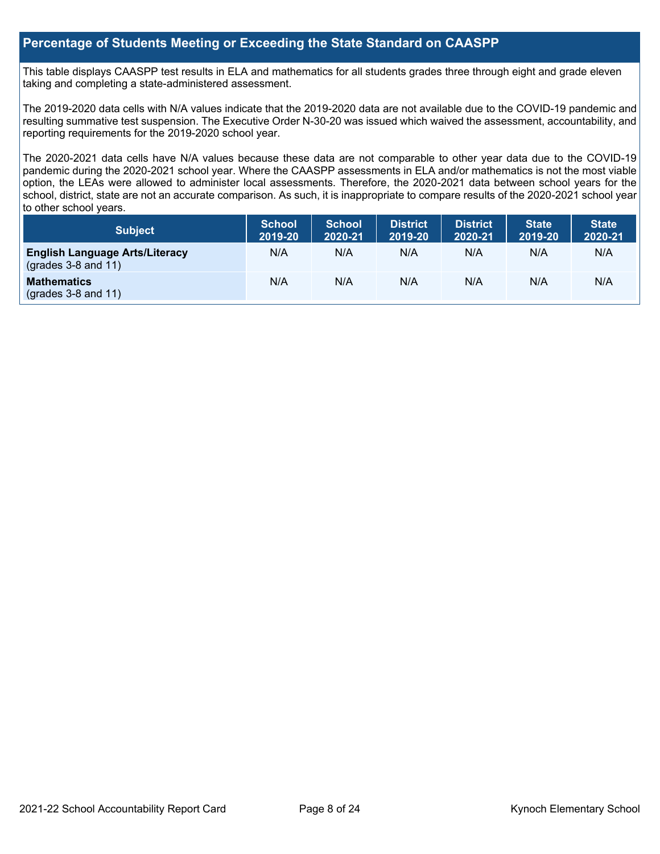## **Percentage of Students Meeting or Exceeding the State Standard on CAASPP**

This table displays CAASPP test results in ELA and mathematics for all students grades three through eight and grade eleven taking and completing a state-administered assessment.

The 2019-2020 data cells with N/A values indicate that the 2019-2020 data are not available due to the COVID-19 pandemic and resulting summative test suspension. The Executive Order N-30-20 was issued which waived the assessment, accountability, and reporting requirements for the 2019-2020 school year.

The 2020-2021 data cells have N/A values because these data are not comparable to other year data due to the COVID-19 pandemic during the 2020-2021 school year. Where the CAASPP assessments in ELA and/or mathematics is not the most viable option, the LEAs were allowed to administer local assessments. Therefore, the 2020-2021 data between school years for the school, district, state are not an accurate comparison. As such, it is inappropriate to compare results of the 2020-2021 school year to other school years.

| Subject                                                        | <b>School</b><br>2019-20 | <b>School</b><br>2020-21 | <b>District</b><br>2019-20 | <b>District</b><br>2020-21 | <b>State</b><br>2019-20 | <b>State</b><br>2020-21 |
|----------------------------------------------------------------|--------------------------|--------------------------|----------------------------|----------------------------|-------------------------|-------------------------|
| <b>English Language Arts/Literacy</b><br>$(grades 3-8 and 11)$ | N/A                      | N/A                      | N/A                        | N/A                        | N/A                     | N/A                     |
| <b>Mathematics</b><br>$($ grades 3-8 and 11 $)$                | N/A                      | N/A                      | N/A                        | N/A                        | N/A                     | N/A                     |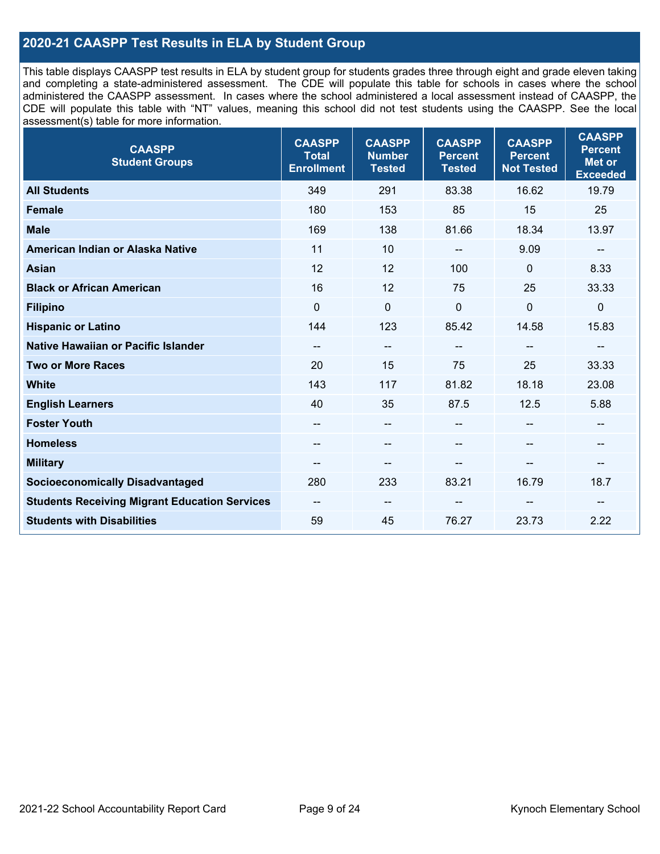## **2020-21 CAASPP Test Results in ELA by Student Group**

This table displays CAASPP test results in ELA by student group for students grades three through eight and grade eleven taking and completing a state-administered assessment. The CDE will populate this table for schools in cases where the school administered the CAASPP assessment. In cases where the school administered a local assessment instead of CAASPP, the CDE will populate this table with "NT" values, meaning this school did not test students using the CAASPP. See the local assessment(s) table for more information.

| <b>CAASPP</b><br><b>Student Groups</b>               | <b>CAASPP</b><br><b>Total</b><br><b>Enrollment</b> | <b>CAASPP</b><br><b>Number</b><br><b>Tested</b> | <b>CAASPP</b><br><b>Percent</b><br><b>Tested</b> | <b>CAASPP</b><br><b>Percent</b><br><b>Not Tested</b> | <b>CAASPP</b><br><b>Percent</b><br><b>Met or</b><br><b>Exceeded</b> |
|------------------------------------------------------|----------------------------------------------------|-------------------------------------------------|--------------------------------------------------|------------------------------------------------------|---------------------------------------------------------------------|
| <b>All Students</b>                                  | 349                                                | 291                                             | 83.38                                            | 16.62                                                | 19.79                                                               |
| <b>Female</b>                                        | 180                                                | 153                                             | 85                                               | 15                                                   | 25                                                                  |
| <b>Male</b>                                          | 169                                                | 138                                             | 81.66                                            | 18.34                                                | 13.97                                                               |
| American Indian or Alaska Native                     | 11                                                 | 10                                              | --                                               | 9.09                                                 | $\qquad \qquad -$                                                   |
| <b>Asian</b>                                         | 12                                                 | 12                                              | 100                                              | $\Omega$                                             | 8.33                                                                |
| <b>Black or African American</b>                     | 16                                                 | 12                                              | 75                                               | 25                                                   | 33.33                                                               |
| <b>Filipino</b>                                      | $\Omega$                                           | $\mathbf 0$                                     | $\mathbf{0}$                                     | $\mathbf 0$                                          | $\mathbf 0$                                                         |
| <b>Hispanic or Latino</b>                            | 144                                                | 123                                             | 85.42                                            | 14.58                                                | 15.83                                                               |
| Native Hawaiian or Pacific Islander                  | --                                                 | $\overline{\phantom{m}}$                        | --                                               | $-$                                                  | --                                                                  |
| <b>Two or More Races</b>                             | 20                                                 | 15                                              | 75                                               | 25                                                   | 33.33                                                               |
| <b>White</b>                                         | 143                                                | 117                                             | 81.82                                            | 18.18                                                | 23.08                                                               |
| <b>English Learners</b>                              | 40                                                 | 35                                              | 87.5                                             | 12.5                                                 | 5.88                                                                |
| <b>Foster Youth</b>                                  | $- -$                                              | $\qquad \qquad -$                               |                                                  |                                                      | --                                                                  |
| <b>Homeless</b>                                      | $\hspace{0.05cm}$ – $\hspace{0.05cm}$              | $\hspace{0.05cm}$ – $\hspace{0.05cm}$           | $\qquad \qquad \blacksquare$                     | $\overline{\phantom{a}}$                             | $\qquad \qquad -$                                                   |
| <b>Military</b>                                      |                                                    | --                                              |                                                  | --                                                   | --                                                                  |
| <b>Socioeconomically Disadvantaged</b>               | 280                                                | 233                                             | 83.21                                            | 16.79                                                | 18.7                                                                |
| <b>Students Receiving Migrant Education Services</b> | --                                                 | $\overline{\phantom{m}}$                        |                                                  |                                                      |                                                                     |
| <b>Students with Disabilities</b>                    | 59                                                 | 45                                              | 76.27                                            | 23.73                                                | 2.22                                                                |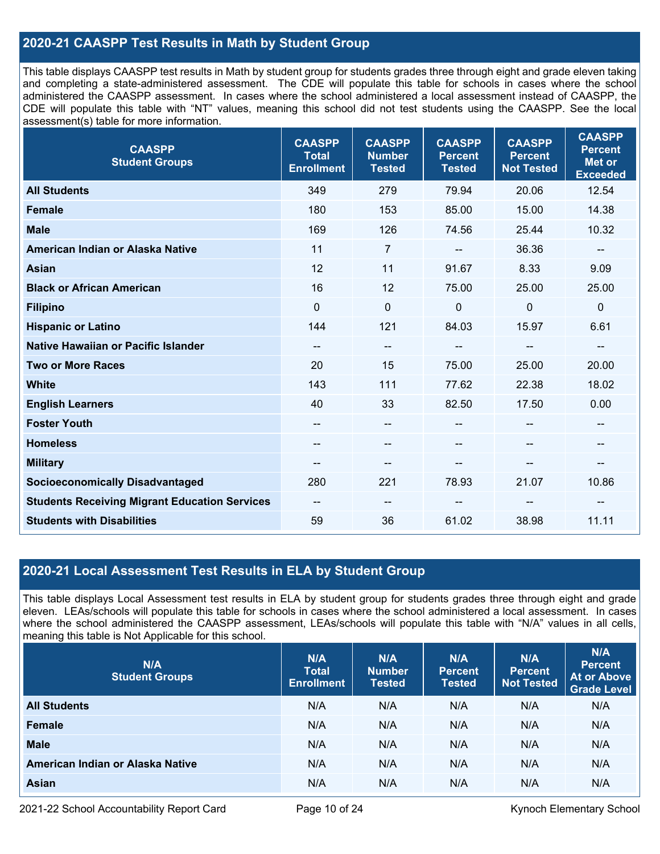## **2020-21 CAASPP Test Results in Math by Student Group**

This table displays CAASPP test results in Math by student group for students grades three through eight and grade eleven taking and completing a state-administered assessment. The CDE will populate this table for schools in cases where the school administered the CAASPP assessment. In cases where the school administered a local assessment instead of CAASPP, the CDE will populate this table with "NT" values, meaning this school did not test students using the CAASPP. See the local assessment(s) table for more information.

| <b>CAASPP</b><br><b>Student Groups</b>               | <b>CAASPP</b><br><b>Total</b><br><b>Enrollment</b> | <b>CAASPP</b><br><b>Number</b><br><b>Tested</b> | <b>CAASPP</b><br><b>Percent</b><br><b>Tested</b> | <b>CAASPP</b><br><b>Percent</b><br><b>Not Tested</b> | <b>CAASPP</b><br><b>Percent</b><br><b>Met or</b><br><b>Exceeded</b> |
|------------------------------------------------------|----------------------------------------------------|-------------------------------------------------|--------------------------------------------------|------------------------------------------------------|---------------------------------------------------------------------|
| <b>All Students</b>                                  | 349                                                | 279                                             | 79.94                                            | 20.06                                                | 12.54                                                               |
| <b>Female</b>                                        | 180                                                | 153                                             | 85.00                                            | 15.00                                                | 14.38                                                               |
| <b>Male</b>                                          | 169                                                | 126                                             | 74.56                                            | 25.44                                                | 10.32                                                               |
| American Indian or Alaska Native                     | 11                                                 | $\overline{7}$                                  | --                                               | 36.36                                                | $\overline{\phantom{a}}$                                            |
| Asian                                                | 12                                                 | 11                                              | 91.67                                            | 8.33                                                 | 9.09                                                                |
| <b>Black or African American</b>                     | 16                                                 | 12                                              | 75.00                                            | 25.00                                                | 25.00                                                               |
| <b>Filipino</b>                                      | $\mathbf 0$                                        | 0                                               | $\mathbf{0}$                                     | $\mathbf{0}$                                         | $\mathbf 0$                                                         |
| <b>Hispanic or Latino</b>                            | 144                                                | 121                                             | 84.03                                            | 15.97                                                | 6.61                                                                |
| Native Hawaiian or Pacific Islander                  | $\hspace{0.05cm}$ – $\hspace{0.05cm}$              | --                                              | --                                               | --                                                   | $\overline{\phantom{a}}$                                            |
| <b>Two or More Races</b>                             | 20                                                 | 15                                              | 75.00                                            | 25.00                                                | 20.00                                                               |
| <b>White</b>                                         | 143                                                | 111                                             | 77.62                                            | 22.38                                                | 18.02                                                               |
| <b>English Learners</b>                              | 40                                                 | 33                                              | 82.50                                            | 17.50                                                | 0.00                                                                |
| <b>Foster Youth</b>                                  | --                                                 | --                                              | --                                               | --                                                   | --                                                                  |
| <b>Homeless</b>                                      | $\overline{\phantom{a}}$                           | --                                              | --                                               | --                                                   | $\overline{\phantom{a}}$                                            |
| <b>Military</b>                                      |                                                    | --                                              |                                                  |                                                      | --                                                                  |
| <b>Socioeconomically Disadvantaged</b>               | 280                                                | 221                                             | 78.93                                            | 21.07                                                | 10.86                                                               |
| <b>Students Receiving Migrant Education Services</b> | $\hspace{0.05cm}$ – $\hspace{0.05cm}$              | --                                              |                                                  |                                                      |                                                                     |
| <b>Students with Disabilities</b>                    | 59                                                 | 36                                              | 61.02                                            | 38.98                                                | 11.11                                                               |

## **2020-21 Local Assessment Test Results in ELA by Student Group**

This table displays Local Assessment test results in ELA by student group for students grades three through eight and grade eleven. LEAs/schools will populate this table for schools in cases where the school administered a local assessment. In cases where the school administered the CAASPP assessment, LEAs/schools will populate this table with "N/A" values in all cells, meaning this table is Not Applicable for this school.

| N/A<br><b>Student Groups</b>     | N/A<br><b>Total</b><br><b>Enrollment</b> | N/A<br><b>Number</b><br><b>Tested</b> | N/A<br><b>Percent</b><br><b>Tested</b> | N/A<br><b>Percent</b><br><b>Not Tested</b> | N/A<br><b>Percent</b><br><b>At or Above</b><br><b>Grade Level</b> |
|----------------------------------|------------------------------------------|---------------------------------------|----------------------------------------|--------------------------------------------|-------------------------------------------------------------------|
| <b>All Students</b>              | N/A                                      | N/A                                   | N/A                                    | N/A                                        | N/A                                                               |
| Female                           | N/A                                      | N/A                                   | N/A                                    | N/A                                        | N/A                                                               |
| <b>Male</b>                      | N/A                                      | N/A                                   | N/A                                    | N/A                                        | N/A                                                               |
| American Indian or Alaska Native | N/A                                      | N/A                                   | N/A                                    | N/A                                        | N/A                                                               |
| Asian                            | N/A                                      | N/A                                   | N/A                                    | N/A                                        | N/A                                                               |

2021-22 School Accountability Report Card **Page 10 of 24** Kynoch Elementary School Page 10 of 24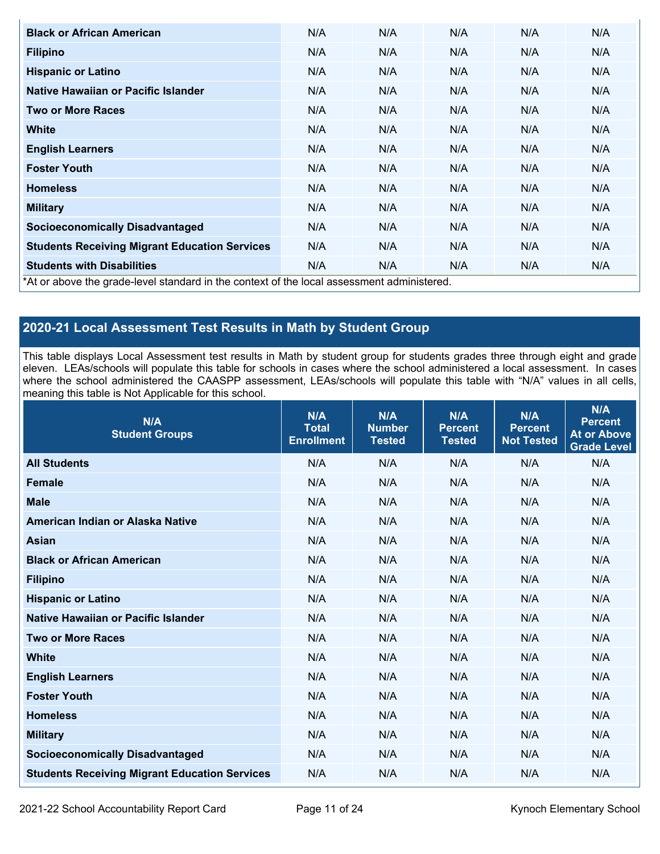| <b>Black or African American</b>                                                          | N/A | N/A | N/A | N/A | N/A |
|-------------------------------------------------------------------------------------------|-----|-----|-----|-----|-----|
| <b>Filipino</b>                                                                           | N/A | N/A | N/A | N/A | N/A |
| <b>Hispanic or Latino</b>                                                                 | N/A | N/A | N/A | N/A | N/A |
| Native Hawaiian or Pacific Islander                                                       | N/A | N/A | N/A | N/A | N/A |
| <b>Two or More Races</b>                                                                  | N/A | N/A | N/A | N/A | N/A |
| White                                                                                     | N/A | N/A | N/A | N/A | N/A |
| <b>English Learners</b>                                                                   | N/A | N/A | N/A | N/A | N/A |
| <b>Foster Youth</b>                                                                       | N/A | N/A | N/A | N/A | N/A |
| <b>Homeless</b>                                                                           | N/A | N/A | N/A | N/A | N/A |
| <b>Military</b>                                                                           | N/A | N/A | N/A | N/A | N/A |
| <b>Socioeconomically Disadvantaged</b>                                                    | N/A | N/A | N/A | N/A | N/A |
| <b>Students Receiving Migrant Education Services</b>                                      | N/A | N/A | N/A | N/A | N/A |
| <b>Students with Disabilities</b>                                                         | N/A | N/A | N/A | N/A | N/A |
| *At or above the grade-level standard in the context of the local assessment administered |     |     |     |     |     |

\*At or above the grade-level standard in the context of the local assessment administered.

## **2020-21 Local Assessment Test Results in Math by Student Group**

This table displays Local Assessment test results in Math by student group for students grades three through eight and grade eleven. LEAs/schools will populate this table for schools in cases where the school administered a local assessment. In cases where the school administered the CAASPP assessment, LEAs/schools will populate this table with "N/A" values in all cells, meaning this table is Not Applicable for this school.

| N/A<br><b>Student Groups</b>                         | N/A<br><b>Total</b><br><b>Enrollment</b> | N/A<br><b>Number</b><br><b>Tested</b> | N/A<br><b>Percent</b><br><b>Tested</b> | N/A<br><b>Percent</b><br><b>Not Tested</b> | N/A<br><b>Percent</b><br><b>At or Above</b><br><b>Grade Level</b> |
|------------------------------------------------------|------------------------------------------|---------------------------------------|----------------------------------------|--------------------------------------------|-------------------------------------------------------------------|
| <b>All Students</b>                                  | N/A                                      | N/A                                   | N/A                                    | N/A                                        | N/A                                                               |
| <b>Female</b>                                        | N/A                                      | N/A                                   | N/A                                    | N/A                                        | N/A                                                               |
| <b>Male</b>                                          | N/A                                      | N/A                                   | N/A                                    | N/A                                        | N/A                                                               |
| American Indian or Alaska Native                     | N/A                                      | N/A                                   | N/A                                    | N/A                                        | N/A                                                               |
| <b>Asian</b>                                         | N/A                                      | N/A                                   | N/A                                    | N/A                                        | N/A                                                               |
| <b>Black or African American</b>                     | N/A                                      | N/A                                   | N/A                                    | N/A                                        | N/A                                                               |
| <b>Filipino</b>                                      | N/A                                      | N/A                                   | N/A                                    | N/A                                        | N/A                                                               |
| <b>Hispanic or Latino</b>                            | N/A                                      | N/A                                   | N/A                                    | N/A                                        | N/A                                                               |
| Native Hawaiian or Pacific Islander                  | N/A                                      | N/A                                   | N/A                                    | N/A                                        | N/A                                                               |
| <b>Two or More Races</b>                             | N/A                                      | N/A                                   | N/A                                    | N/A                                        | N/A                                                               |
| <b>White</b>                                         | N/A                                      | N/A                                   | N/A                                    | N/A                                        | N/A                                                               |
| <b>English Learners</b>                              | N/A                                      | N/A                                   | N/A                                    | N/A                                        | N/A                                                               |
| <b>Foster Youth</b>                                  | N/A                                      | N/A                                   | N/A                                    | N/A                                        | N/A                                                               |
| <b>Homeless</b>                                      | N/A                                      | N/A                                   | N/A                                    | N/A                                        | N/A                                                               |
| <b>Military</b>                                      | N/A                                      | N/A                                   | N/A                                    | N/A                                        | N/A                                                               |
| <b>Socioeconomically Disadvantaged</b>               | N/A                                      | N/A                                   | N/A                                    | N/A                                        | N/A                                                               |
| <b>Students Receiving Migrant Education Services</b> | N/A                                      | N/A                                   | N/A                                    | N/A                                        | N/A                                                               |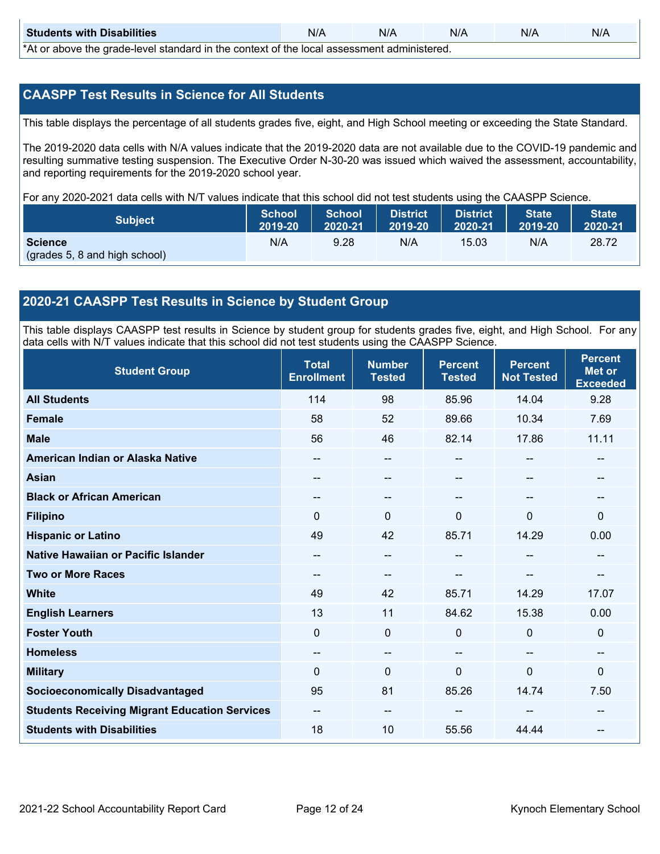| <b>Students with Disabilities</b>                                                           | N/A | N/A | N/A | N/A | N/A |  |  |  |  |
|---------------------------------------------------------------------------------------------|-----|-----|-----|-----|-----|--|--|--|--|
| *At as above the escale lovel eternales in the context of the lead economicate administered |     |     |     |     |     |  |  |  |  |

\*At or above the grade-level standard in the context of the local assessment administered.

## **CAASPP Test Results in Science for All Students**

This table displays the percentage of all students grades five, eight, and High School meeting or exceeding the State Standard.

The 2019-2020 data cells with N/A values indicate that the 2019-2020 data are not available due to the COVID-19 pandemic and resulting summative testing suspension. The Executive Order N-30-20 was issued which waived the assessment, accountability, and reporting requirements for the 2019-2020 school year.

For any 2020-2021 data cells with N/T values indicate that this school did not test students using the CAASPP Science.

| Subject                                                         | School  | <b>School</b> | <b>District</b> | <b>District</b> | <b>State</b> | State <sup>1</sup> |
|-----------------------------------------------------------------|---------|---------------|-----------------|-----------------|--------------|--------------------|
|                                                                 | 2019-20 | 2020-21       | 2019-20         | 2020-21         | 2019-20      | 2020-21            |
| <b>Science</b><br>$\sqrt{(grades 5, 8 \text{ and high school)}$ | N/A     | 9.28          | N/A             | 15.03           | N/A          | 28.72              |

## **2020-21 CAASPP Test Results in Science by Student Group**

This table displays CAASPP test results in Science by student group for students grades five, eight, and High School. For any data cells with N/T values indicate that this school did not test students using the CAASPP Science.

| <b>Student Group</b>                                 | <b>Total</b><br><b>Enrollment</b> | <b>Number</b><br><b>Tested</b> | <b>Percent</b><br><b>Tested</b> | <b>Percent</b><br><b>Not Tested</b> | <b>Percent</b><br><b>Met or</b><br><b>Exceeded</b> |
|------------------------------------------------------|-----------------------------------|--------------------------------|---------------------------------|-------------------------------------|----------------------------------------------------|
| <b>All Students</b>                                  | 114                               | 98                             | 85.96                           | 14.04                               | 9.28                                               |
| <b>Female</b>                                        | 58                                | 52                             | 89.66                           | 10.34                               | 7.69                                               |
| <b>Male</b>                                          | 56                                | 46                             | 82.14                           | 17.86                               | 11.11                                              |
| American Indian or Alaska Native                     | --                                | $\qquad \qquad -$              |                                 | --                                  | --                                                 |
| <b>Asian</b>                                         | --                                | --                             |                                 | --                                  |                                                    |
| <b>Black or African American</b>                     |                                   | --                             |                                 |                                     | --                                                 |
| <b>Filipino</b>                                      | 0                                 | 0                              | $\Omega$                        | $\mathbf{0}$                        | 0                                                  |
| <b>Hispanic or Latino</b>                            | 49                                | 42                             | 85.71                           | 14.29                               | 0.00                                               |
| Native Hawaiian or Pacific Islander                  | --                                | --                             |                                 | --                                  |                                                    |
| <b>Two or More Races</b>                             | --                                | $\qquad \qquad -$              |                                 | --                                  | $-$                                                |
| <b>White</b>                                         | 49                                | 42                             | 85.71                           | 14.29                               | 17.07                                              |
| <b>English Learners</b>                              | 13                                | 11                             | 84.62                           | 15.38                               | 0.00                                               |
| <b>Foster Youth</b>                                  | 0                                 | 0                              | $\mathbf 0$                     | $\mathbf 0$                         | $\mathbf 0$                                        |
| <b>Homeless</b>                                      | --                                | --                             |                                 | --                                  | --                                                 |
| <b>Military</b>                                      | $\Omega$                          | 0                              | $\Omega$                        | $\mathbf{0}$                        | $\Omega$                                           |
| <b>Socioeconomically Disadvantaged</b>               | 95                                | 81                             | 85.26                           | 14.74                               | 7.50                                               |
| <b>Students Receiving Migrant Education Services</b> | --                                | --                             |                                 |                                     |                                                    |
| <b>Students with Disabilities</b>                    | 18                                | 10                             | 55.56                           | 44.44                               | --                                                 |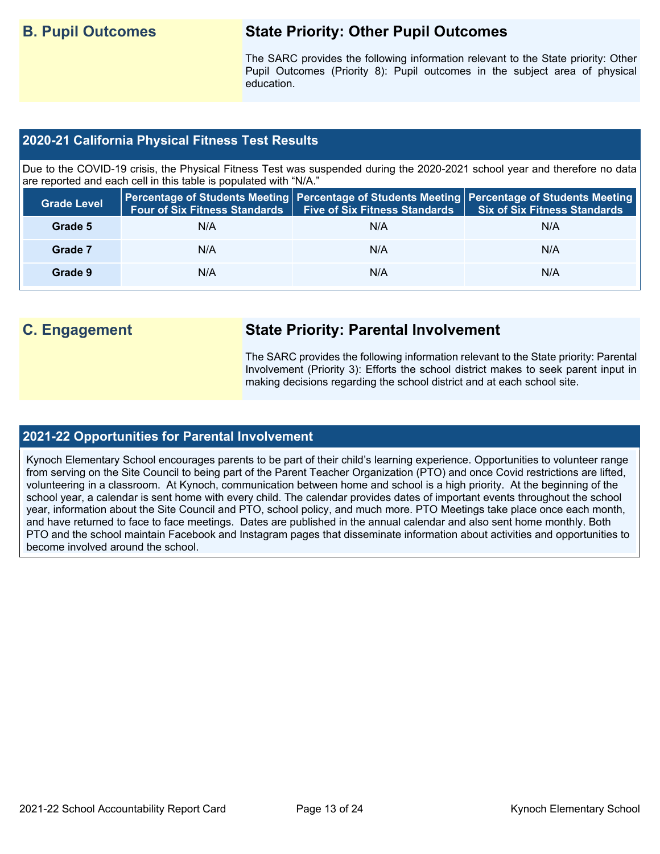## **B. Pupil Outcomes State Priority: Other Pupil Outcomes**

The SARC provides the following information relevant to the State priority: Other Pupil Outcomes (Priority 8): Pupil outcomes in the subject area of physical education.

## **2020-21 California Physical Fitness Test Results**

Due to the COVID-19 crisis, the Physical Fitness Test was suspended during the 2020-2021 school year and therefore no data are reported and each cell in this table is populated with "N/A."

| <b>Grade Level</b> | <b>Four of Six Fitness Standards</b> | <b>Five of Six Fitness Standards</b> | Percentage of Students Meeting   Percentage of Students Meeting   Percentage of Students Meeting<br><b>Six of Six Fitness Standards</b> |
|--------------------|--------------------------------------|--------------------------------------|-----------------------------------------------------------------------------------------------------------------------------------------|
| Grade 5            | N/A                                  | N/A                                  | N/A                                                                                                                                     |
| Grade 7            | N/A                                  | N/A                                  | N/A                                                                                                                                     |
| Grade 9            | N/A                                  | N/A                                  | N/A                                                                                                                                     |

## **C. Engagement State Priority: Parental Involvement**

The SARC provides the following information relevant to the State priority: Parental Involvement (Priority 3): Efforts the school district makes to seek parent input in making decisions regarding the school district and at each school site.

## **2021-22 Opportunities for Parental Involvement**

Kynoch Elementary School encourages parents to be part of their child's learning experience. Opportunities to volunteer range from serving on the Site Council to being part of the Parent Teacher Organization (PTO) and once Covid restrictions are lifted, volunteering in a classroom. At Kynoch, communication between home and school is a high priority. At the beginning of the school year, a calendar is sent home with every child. The calendar provides dates of important events throughout the school year, information about the Site Council and PTO, school policy, and much more. PTO Meetings take place once each month, and have returned to face to face meetings. Dates are published in the annual calendar and also sent home monthly. Both PTO and the school maintain Facebook and Instagram pages that disseminate information about activities and opportunities to become involved around the school.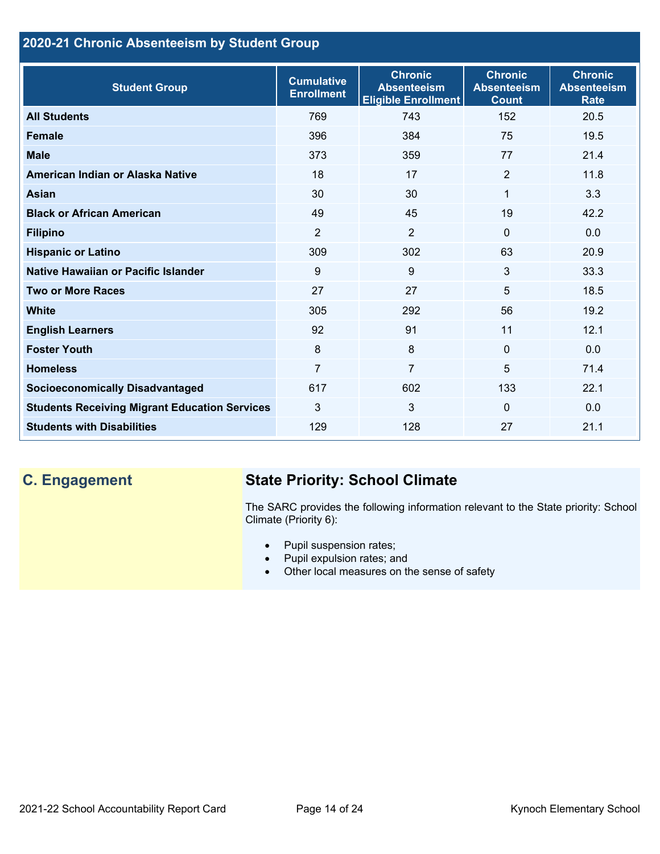## **2020-21 Chronic Absenteeism by Student Group**

| <b>Student Group</b>                                 | <b>Cumulative</b><br><b>Enrollment</b> | <b>Chronic</b><br><b>Absenteeism</b><br><b>Eligible Enrollment</b> | <b>Chronic</b><br><b>Absenteeism</b><br><b>Count</b> | <b>Chronic</b><br><b>Absenteeism</b><br><b>Rate</b> |
|------------------------------------------------------|----------------------------------------|--------------------------------------------------------------------|------------------------------------------------------|-----------------------------------------------------|
| <b>All Students</b>                                  | 769                                    | 743                                                                | 152                                                  | 20.5                                                |
| <b>Female</b>                                        | 396                                    | 384                                                                | 75                                                   | 19.5                                                |
| <b>Male</b>                                          | 373                                    | 359                                                                | 77                                                   | 21.4                                                |
| American Indian or Alaska Native                     | 18                                     | 17                                                                 | 2                                                    | 11.8                                                |
| <b>Asian</b>                                         | 30                                     | 30                                                                 | 1                                                    | 3.3                                                 |
| <b>Black or African American</b>                     | 49                                     | 45                                                                 | 19                                                   | 42.2                                                |
| <b>Filipino</b>                                      | $\overline{2}$                         | $\overline{2}$                                                     | $\mathbf{0}$                                         | 0.0                                                 |
| <b>Hispanic or Latino</b>                            | 309                                    | 302                                                                | 63                                                   | 20.9                                                |
| <b>Native Hawaiian or Pacific Islander</b>           | 9                                      | 9                                                                  | 3                                                    | 33.3                                                |
| <b>Two or More Races</b>                             | 27                                     | 27                                                                 | 5                                                    | 18.5                                                |
| <b>White</b>                                         | 305                                    | 292                                                                | 56                                                   | 19.2                                                |
| <b>English Learners</b>                              | 92                                     | 91                                                                 | 11                                                   | 12.1                                                |
| <b>Foster Youth</b>                                  | 8                                      | 8                                                                  | $\Omega$                                             | 0.0                                                 |
| <b>Homeless</b>                                      | $\overline{7}$                         | $\overline{7}$                                                     | 5                                                    | 71.4                                                |
| <b>Socioeconomically Disadvantaged</b>               | 617                                    | 602                                                                | 133                                                  | 22.1                                                |
| <b>Students Receiving Migrant Education Services</b> | 3                                      | 3                                                                  | $\Omega$                                             | 0.0                                                 |
| <b>Students with Disabilities</b>                    | 129                                    | 128                                                                | 27                                                   | 21.1                                                |

## **C. Engagement State Priority: School Climate**

The SARC provides the following information relevant to the State priority: School Climate (Priority 6):

- Pupil suspension rates;
- Pupil expulsion rates; and
- Other local measures on the sense of safety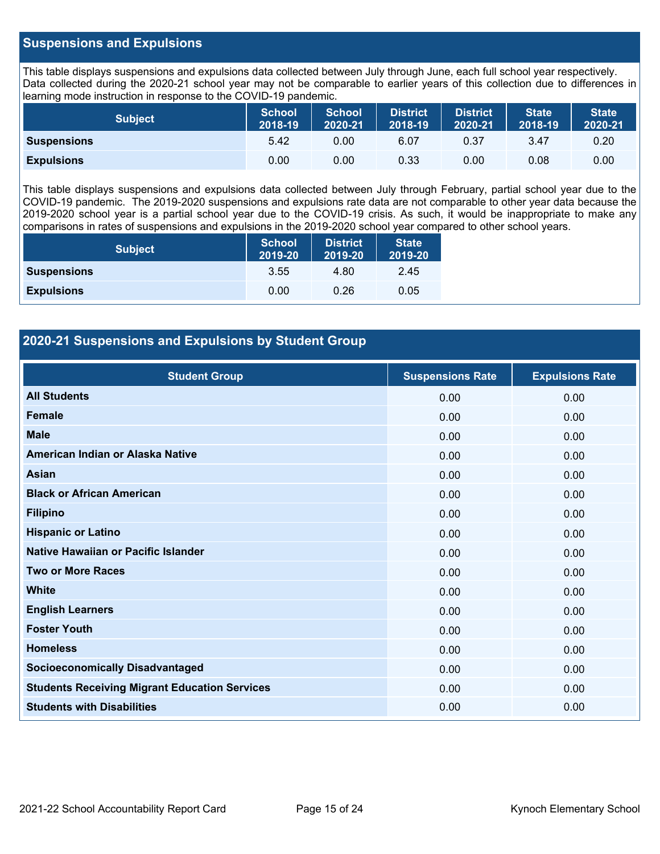## **Suspensions and Expulsions**

This table displays suspensions and expulsions data collected between July through June, each full school year respectively. Data collected during the 2020-21 school year may not be comparable to earlier years of this collection due to differences in learning mode instruction in response to the COVID-19 pandemic.

| <b>Subject</b>     | <b>School</b><br>2018-19 | <b>School</b><br>2020-21 | <b>District</b><br>2018-19 | <b>District</b><br>2020-21 | State<br>2018-19 | <b>State</b><br>2020-21 |
|--------------------|--------------------------|--------------------------|----------------------------|----------------------------|------------------|-------------------------|
| <b>Suspensions</b> | 5.42                     | 0.00                     | 6.07                       | 0.37                       | 3.47             | 0.20                    |
| <b>Expulsions</b>  | 0.00                     | 0.00                     | 0.33                       | 0.00                       | 0.08             | 0.00                    |

This table displays suspensions and expulsions data collected between July through February, partial school year due to the COVID-19 pandemic. The 2019-2020 suspensions and expulsions rate data are not comparable to other year data because the 2019-2020 school year is a partial school year due to the COVID-19 crisis. As such, it would be inappropriate to make any comparisons in rates of suspensions and expulsions in the 2019-2020 school year compared to other school years.

| <b>Subject</b>     | <b>School</b><br>2019-20 | <b>District</b><br>2019-20 | <b>State</b><br>2019-20 |
|--------------------|--------------------------|----------------------------|-------------------------|
| <b>Suspensions</b> | 3.55                     | 4.80                       | 2.45                    |
| <b>Expulsions</b>  | 0.00                     | 0.26                       | 0.05                    |

## **2020-21 Suspensions and Expulsions by Student Group**

| <b>Student Group</b>                                 | <b>Suspensions Rate</b> | <b>Expulsions Rate</b> |
|------------------------------------------------------|-------------------------|------------------------|
| <b>All Students</b>                                  | 0.00                    | 0.00                   |
| <b>Female</b>                                        | 0.00                    | 0.00                   |
| <b>Male</b>                                          | 0.00                    | 0.00                   |
| American Indian or Alaska Native                     | 0.00                    | 0.00                   |
| Asian                                                | 0.00                    | 0.00                   |
| <b>Black or African American</b>                     | 0.00                    | 0.00                   |
| <b>Filipino</b>                                      | 0.00                    | 0.00                   |
| <b>Hispanic or Latino</b>                            | 0.00                    | 0.00                   |
| Native Hawaiian or Pacific Islander                  | 0.00                    | 0.00                   |
| <b>Two or More Races</b>                             | 0.00                    | 0.00                   |
| <b>White</b>                                         | 0.00                    | 0.00                   |
| <b>English Learners</b>                              | 0.00                    | 0.00                   |
| <b>Foster Youth</b>                                  | 0.00                    | 0.00                   |
| <b>Homeless</b>                                      | 0.00                    | 0.00                   |
| <b>Socioeconomically Disadvantaged</b>               | 0.00                    | 0.00                   |
| <b>Students Receiving Migrant Education Services</b> | 0.00                    | 0.00                   |
| <b>Students with Disabilities</b>                    | 0.00                    | 0.00                   |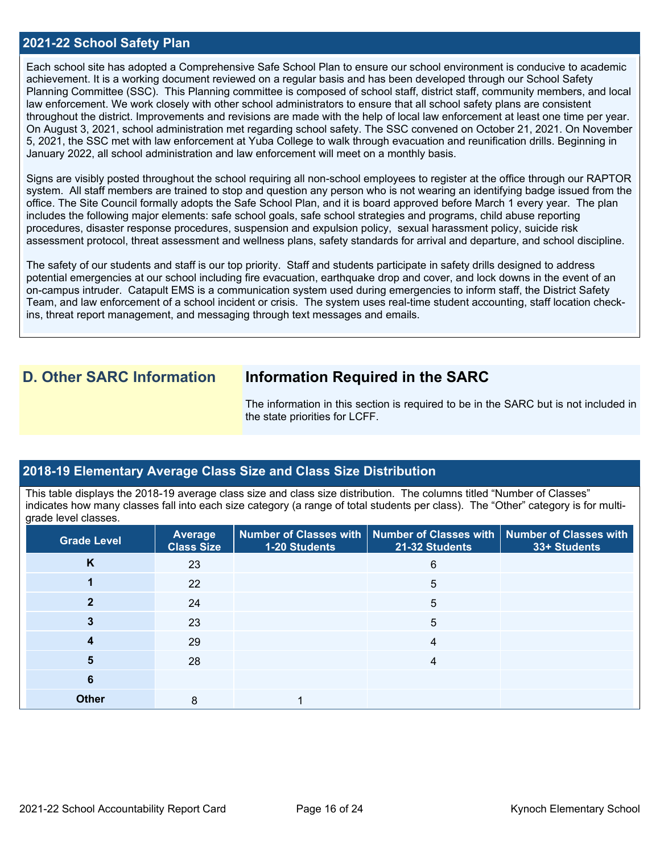### **2021-22 School Safety Plan**

Each school site has adopted a Comprehensive Safe School Plan to ensure our school environment is conducive to academic achievement. It is a working document reviewed on a regular basis and has been developed through our School Safety Planning Committee (SSC). This Planning committee is composed of school staff, district staff, community members, and local law enforcement. We work closely with other school administrators to ensure that all school safety plans are consistent throughout the district. Improvements and revisions are made with the help of local law enforcement at least one time per year. On August 3, 2021, school administration met regarding school safety. The SSC convened on October 21, 2021. On November 5, 2021, the SSC met with law enforcement at Yuba College to walk through evacuation and reunification drills. Beginning in January 2022, all school administration and law enforcement will meet on a monthly basis.

Signs are visibly posted throughout the school requiring all non-school employees to register at the office through our RAPTOR system. All staff members are trained to stop and question any person who is not wearing an identifying badge issued from the office. The Site Council formally adopts the Safe School Plan, and it is board approved before March 1 every year. The plan includes the following major elements: safe school goals, safe school strategies and programs, child abuse reporting procedures, disaster response procedures, suspension and expulsion policy, sexual harassment policy, suicide risk assessment protocol, threat assessment and wellness plans, safety standards for arrival and departure, and school discipline.

The safety of our students and staff is our top priority. Staff and students participate in safety drills designed to address potential emergencies at our school including fire evacuation, earthquake drop and cover, and lock downs in the event of an on-campus intruder. Catapult EMS is a communication system used during emergencies to inform staff, the District Safety Team, and law enforcement of a school incident or crisis. The system uses real-time student accounting, staff location checkins, threat report management, and messaging through text messages and emails.

## **D. Other SARC Information Information Required in the SARC**

The information in this section is required to be in the SARC but is not included in the state priorities for LCFF.

### **2018-19 Elementary Average Class Size and Class Size Distribution**

This table displays the 2018-19 average class size and class size distribution. The columns titled "Number of Classes" indicates how many classes fall into each size category (a range of total students per class). The "Other" category is for multigrade level classes.

| <b>Grade Level</b> | <b>Average</b><br><b>Class Size</b> | 1-20 Students | Number of Classes with $\mid$ Number of Classes with $\mid$ Number of Classes with<br>21-32 Students | 33+ Students |
|--------------------|-------------------------------------|---------------|------------------------------------------------------------------------------------------------------|--------------|
| K                  | 23                                  |               | 6                                                                                                    |              |
|                    | 22                                  |               | 5                                                                                                    |              |
|                    | 24                                  |               | 5                                                                                                    |              |
|                    | 23                                  |               | 5                                                                                                    |              |
|                    | 29                                  |               | 4                                                                                                    |              |
| 5                  | 28                                  |               | 4                                                                                                    |              |
| 6                  |                                     |               |                                                                                                      |              |
| <b>Other</b>       | 8                                   |               |                                                                                                      |              |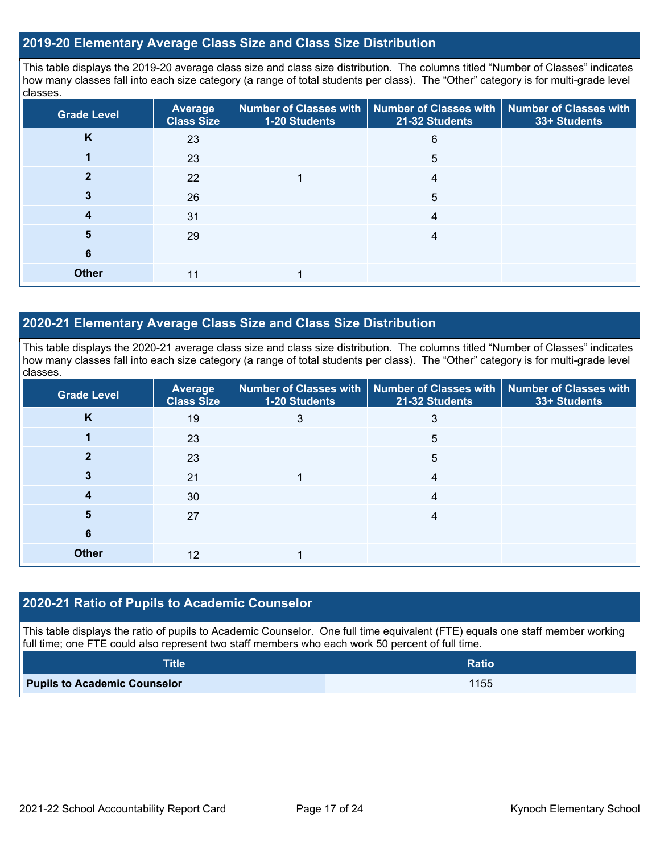## **2019-20 Elementary Average Class Size and Class Size Distribution**

This table displays the 2019-20 average class size and class size distribution. The columns titled "Number of Classes" indicates how many classes fall into each size category (a range of total students per class). The "Other" category is for multi-grade level classes.

| <b>Grade Level</b> | Average<br><b>Class Size</b> | 1-20 Students | Number of Classes with   Number of Classes with  <br>21-32 Students | <b>Number of Classes with</b><br>33+ Students |
|--------------------|------------------------------|---------------|---------------------------------------------------------------------|-----------------------------------------------|
| K                  | 23                           |               | 6                                                                   |                                               |
|                    | 23                           |               | 5                                                                   |                                               |
|                    | 22                           |               | 4                                                                   |                                               |
|                    | 26                           |               | 5                                                                   |                                               |
|                    | 31                           |               | 4                                                                   |                                               |
| 5                  | 29                           |               |                                                                     |                                               |
| 6                  |                              |               |                                                                     |                                               |
| <b>Other</b>       | 11                           |               |                                                                     |                                               |

## **2020-21 Elementary Average Class Size and Class Size Distribution**

This table displays the 2020-21 average class size and class size distribution. The columns titled "Number of Classes" indicates how many classes fall into each size category (a range of total students per class). The "Other" category is for multi-grade level classes.

| <b>Grade Level</b> | Average<br><b>Class Size</b> | 1-20 Students | Number of Classes with   Number of Classes with   Number of Classes with<br>21-32 Students | 33+ Students |
|--------------------|------------------------------|---------------|--------------------------------------------------------------------------------------------|--------------|
| K                  | 19                           | 3             |                                                                                            |              |
|                    | 23                           |               | 5                                                                                          |              |
|                    | 23                           |               | 5                                                                                          |              |
|                    | 21                           |               | 4                                                                                          |              |
|                    | 30                           |               |                                                                                            |              |
| b                  | 27                           |               |                                                                                            |              |
| 6                  |                              |               |                                                                                            |              |
| <b>Other</b>       | 12                           |               |                                                                                            |              |

### **2020-21 Ratio of Pupils to Academic Counselor**

This table displays the ratio of pupils to Academic Counselor. One full time equivalent (FTE) equals one staff member working full time; one FTE could also represent two staff members who each work 50 percent of full time.

| <b>Title</b>                        | <b>Ratio</b> |
|-------------------------------------|--------------|
| <b>Pupils to Academic Counselor</b> | 1155         |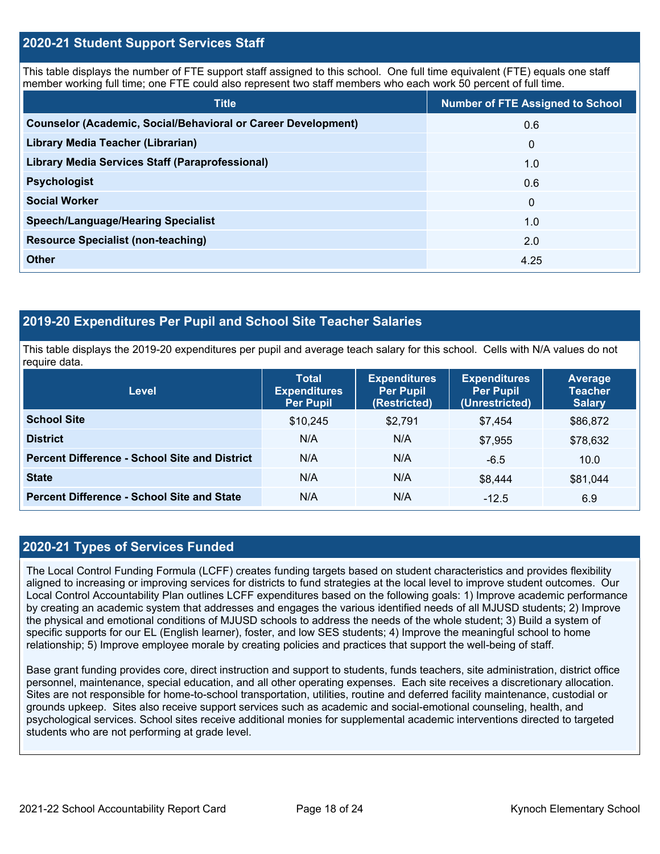## **2020-21 Student Support Services Staff**

This table displays the number of FTE support staff assigned to this school. One full time equivalent (FTE) equals one staff member working full time; one FTE could also represent two staff members who each work 50 percent of full time.

| <b>Title</b>                                                         | <b>Number of FTE Assigned to School</b> |
|----------------------------------------------------------------------|-----------------------------------------|
| <b>Counselor (Academic, Social/Behavioral or Career Development)</b> | 0.6                                     |
| Library Media Teacher (Librarian)                                    | $\mathbf 0$                             |
| <b>Library Media Services Staff (Paraprofessional)</b>               | 1.0                                     |
| <b>Psychologist</b>                                                  | 0.6                                     |
| <b>Social Worker</b>                                                 | $\mathbf{0}$                            |
| <b>Speech/Language/Hearing Specialist</b>                            | 1.0                                     |
| <b>Resource Specialist (non-teaching)</b>                            | 2.0                                     |
| <b>Other</b>                                                         | 4.25                                    |

## **2019-20 Expenditures Per Pupil and School Site Teacher Salaries**

This table displays the 2019-20 expenditures per pupil and average teach salary for this school. Cells with N/A values do not require data.

| <b>Level</b>                                         | <b>Total</b><br><b>Expenditures</b><br><b>Per Pupil</b> | <b>Expenditures</b><br><b>Per Pupil</b><br>(Restricted) | <b>Expenditures</b><br><b>Per Pupil</b><br>(Unrestricted) | Average<br><b>Teacher</b><br><b>Salary</b> |
|------------------------------------------------------|---------------------------------------------------------|---------------------------------------------------------|-----------------------------------------------------------|--------------------------------------------|
| <b>School Site</b>                                   | \$10,245                                                | \$2,791                                                 | \$7,454                                                   | \$86,872                                   |
| <b>District</b>                                      | N/A                                                     | N/A                                                     | \$7,955                                                   | \$78,632                                   |
| <b>Percent Difference - School Site and District</b> | N/A                                                     | N/A                                                     | $-6.5$                                                    | 10.0                                       |
| <b>State</b>                                         | N/A                                                     | N/A                                                     | \$8,444                                                   | \$81,044                                   |
| <b>Percent Difference - School Site and State</b>    | N/A                                                     | N/A                                                     | $-12.5$                                                   | 6.9                                        |

## **2020-21 Types of Services Funded**

The Local Control Funding Formula (LCFF) creates funding targets based on student characteristics and provides flexibility aligned to increasing or improving services for districts to fund strategies at the local level to improve student outcomes. Our Local Control Accountability Plan outlines LCFF expenditures based on the following goals: 1) Improve academic performance by creating an academic system that addresses and engages the various identified needs of all MJUSD students; 2) Improve the physical and emotional conditions of MJUSD schools to address the needs of the whole student; 3) Build a system of specific supports for our EL (English learner), foster, and low SES students; 4) Improve the meaningful school to home relationship; 5) Improve employee morale by creating policies and practices that support the well-being of staff.

Base grant funding provides core, direct instruction and support to students, funds teachers, site administration, district office personnel, maintenance, special education, and all other operating expenses. Each site receives a discretionary allocation. Sites are not responsible for home-to-school transportation, utilities, routine and deferred facility maintenance, custodial or grounds upkeep. Sites also receive support services such as academic and social-emotional counseling, health, and psychological services. School sites receive additional monies for supplemental academic interventions directed to targeted students who are not performing at grade level.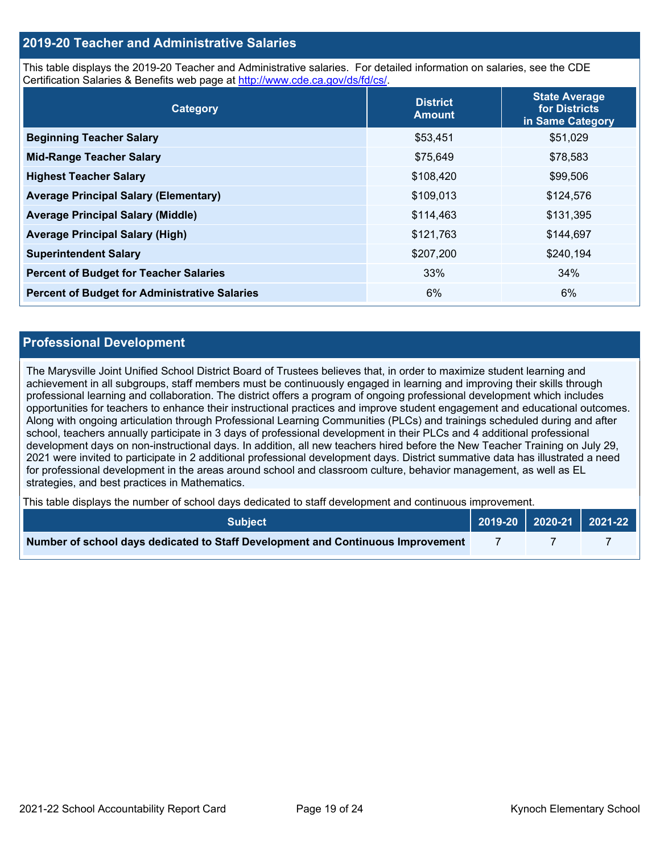## **2019-20 Teacher and Administrative Salaries**

This table displays the 2019-20 Teacher and Administrative salaries. For detailed information on salaries, see the CDE Certification Salaries & Benefits web page at [http://www.cde.ca.gov/ds/fd/cs/.](http://www.cde.ca.gov/ds/fd/cs/)

| Category                                             | <b>District</b><br><b>Amount</b> | <b>State Average</b><br>for Districts<br>in Same Category |
|------------------------------------------------------|----------------------------------|-----------------------------------------------------------|
| <b>Beginning Teacher Salary</b>                      | \$53,451                         | \$51,029                                                  |
| <b>Mid-Range Teacher Salary</b>                      | \$75,649                         | \$78,583                                                  |
| <b>Highest Teacher Salary</b>                        | \$108,420                        | \$99,506                                                  |
| <b>Average Principal Salary (Elementary)</b>         | \$109,013                        | \$124,576                                                 |
| <b>Average Principal Salary (Middle)</b>             | \$114,463                        | \$131,395                                                 |
| <b>Average Principal Salary (High)</b>               | \$121,763                        | \$144,697                                                 |
| <b>Superintendent Salary</b>                         | \$207,200                        | \$240,194                                                 |
| <b>Percent of Budget for Teacher Salaries</b>        | 33%                              | 34%                                                       |
| <b>Percent of Budget for Administrative Salaries</b> | 6%                               | 6%                                                        |

#### **Professional Development**

The Marysville Joint Unified School District Board of Trustees believes that, in order to maximize student learning and achievement in all subgroups, staff members must be continuously engaged in learning and improving their skills through professional learning and collaboration. The district offers a program of ongoing professional development which includes opportunities for teachers to enhance their instructional practices and improve student engagement and educational outcomes. Along with ongoing articulation through Professional Learning Communities (PLCs) and trainings scheduled during and after school, teachers annually participate in 3 days of professional development in their PLCs and 4 additional professional development days on non-instructional days. In addition, all new teachers hired before the New Teacher Training on July 29, 2021 were invited to participate in 2 additional professional development days. District summative data has illustrated a need for professional development in the areas around school and classroom culture, behavior management, as well as EL strategies, and best practices in Mathematics.

This table displays the number of school days dedicated to staff development and continuous improvement.

| <b>Subiect</b>                                                                  |  | $\vert$ 2019-20 $\vert$ 2020-21 $\vert$ 2021-22 $\vert$ |  |
|---------------------------------------------------------------------------------|--|---------------------------------------------------------|--|
| Number of school days dedicated to Staff Development and Continuous Improvement |  |                                                         |  |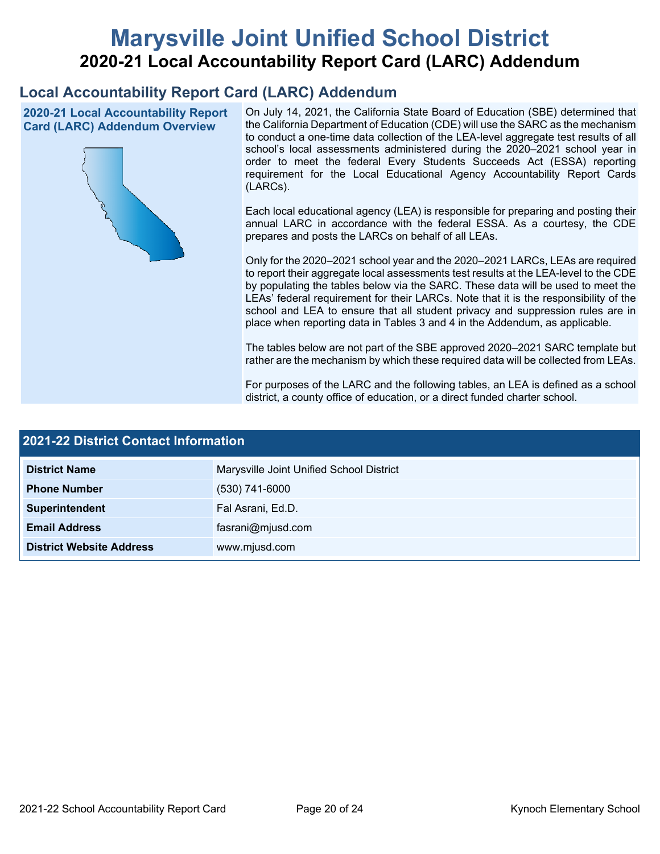# **Marysville Joint Unified School District 2020-21 Local Accountability Report Card (LARC) Addendum**

## **Local Accountability Report Card (LARC) Addendum**

**2020-21 Local Accountability Report Card (LARC) Addendum Overview**



On July 14, 2021, the California State Board of Education (SBE) determined that the California Department of Education (CDE) will use the SARC as the mechanism to conduct a one-time data collection of the LEA-level aggregate test results of all school's local assessments administered during the 2020–2021 school year in order to meet the federal Every Students Succeeds Act (ESSA) reporting requirement for the Local Educational Agency Accountability Report Cards (LARCs).

Each local educational agency (LEA) is responsible for preparing and posting their annual LARC in accordance with the federal ESSA. As a courtesy, the CDE prepares and posts the LARCs on behalf of all LEAs.

Only for the 2020–2021 school year and the 2020–2021 LARCs, LEAs are required to report their aggregate local assessments test results at the LEA-level to the CDE by populating the tables below via the SARC. These data will be used to meet the LEAs' federal requirement for their LARCs. Note that it is the responsibility of the school and LEA to ensure that all student privacy and suppression rules are in place when reporting data in Tables 3 and 4 in the Addendum, as applicable.

The tables below are not part of the SBE approved 2020–2021 SARC template but rather are the mechanism by which these required data will be collected from LEAs.

For purposes of the LARC and the following tables, an LEA is defined as a school district, a county office of education, or a direct funded charter school.

| 2021-22 District Contact Information |                                          |  |  |
|--------------------------------------|------------------------------------------|--|--|
| <b>District Name</b>                 | Marysville Joint Unified School District |  |  |
| <b>Phone Number</b>                  | $(530)$ 741-6000                         |  |  |
| Superintendent                       | Fal Asrani, Ed.D.                        |  |  |
| <b>Email Address</b>                 | fasrani@mjusd.com                        |  |  |
| <b>District Website Address</b>      | www.mjusd.com                            |  |  |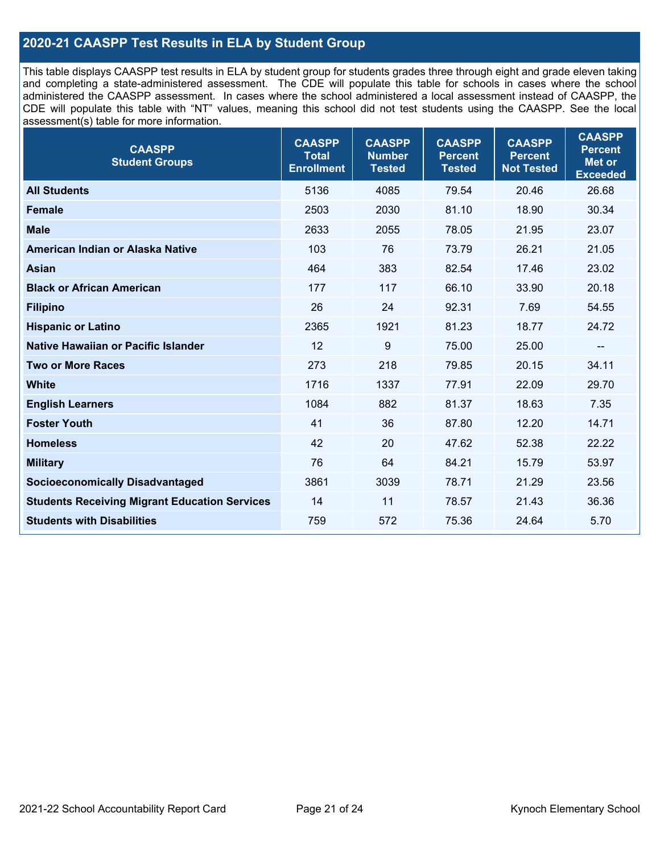## **2020-21 CAASPP Test Results in ELA by Student Group**

This table displays CAASPP test results in ELA by student group for students grades three through eight and grade eleven taking and completing a state-administered assessment. The CDE will populate this table for schools in cases where the school administered the CAASPP assessment. In cases where the school administered a local assessment instead of CAASPP, the CDE will populate this table with "NT" values, meaning this school did not test students using the CAASPP. See the local assessment(s) table for more information.

| <b>CAASPP</b><br><b>Student Groups</b>               | <b>CAASPP</b><br><b>Total</b><br><b>Enrollment</b> | <b>CAASPP</b><br><b>Number</b><br><b>Tested</b> | <b>CAASPP</b><br><b>Percent</b><br><b>Tested</b> | <b>CAASPP</b><br><b>Percent</b><br><b>Not Tested</b> | <b>CAASPP</b><br><b>Percent</b><br>Met or<br><b>Exceeded</b> |
|------------------------------------------------------|----------------------------------------------------|-------------------------------------------------|--------------------------------------------------|------------------------------------------------------|--------------------------------------------------------------|
| <b>All Students</b>                                  | 5136                                               | 4085                                            | 79.54                                            | 20.46                                                | 26.68                                                        |
| <b>Female</b>                                        | 2503                                               | 2030                                            | 81.10                                            | 18.90                                                | 30.34                                                        |
| <b>Male</b>                                          | 2633                                               | 2055                                            | 78.05                                            | 21.95                                                | 23.07                                                        |
| American Indian or Alaska Native                     | 103                                                | 76                                              | 73.79                                            | 26.21                                                | 21.05                                                        |
| Asian                                                | 464                                                | 383                                             | 82.54                                            | 17.46                                                | 23.02                                                        |
| <b>Black or African American</b>                     | 177                                                | 117                                             | 66.10                                            | 33.90                                                | 20.18                                                        |
| <b>Filipino</b>                                      | 26                                                 | 24                                              | 92.31                                            | 7.69                                                 | 54.55                                                        |
| <b>Hispanic or Latino</b>                            | 2365                                               | 1921                                            | 81.23                                            | 18.77                                                | 24.72                                                        |
| Native Hawaiian or Pacific Islander                  | 12                                                 | 9                                               | 75.00                                            | 25.00                                                | $-$                                                          |
| <b>Two or More Races</b>                             | 273                                                | 218                                             | 79.85                                            | 20.15                                                | 34.11                                                        |
| <b>White</b>                                         | 1716                                               | 1337                                            | 77.91                                            | 22.09                                                | 29.70                                                        |
| <b>English Learners</b>                              | 1084                                               | 882                                             | 81.37                                            | 18.63                                                | 7.35                                                         |
| <b>Foster Youth</b>                                  | 41                                                 | 36                                              | 87.80                                            | 12.20                                                | 14.71                                                        |
| <b>Homeless</b>                                      | 42                                                 | 20                                              | 47.62                                            | 52.38                                                | 22.22                                                        |
| <b>Military</b>                                      | 76                                                 | 64                                              | 84.21                                            | 15.79                                                | 53.97                                                        |
| <b>Socioeconomically Disadvantaged</b>               | 3861                                               | 3039                                            | 78.71                                            | 21.29                                                | 23.56                                                        |
| <b>Students Receiving Migrant Education Services</b> | 14                                                 | 11                                              | 78.57                                            | 21.43                                                | 36.36                                                        |
| <b>Students with Disabilities</b>                    | 759                                                | 572                                             | 75.36                                            | 24.64                                                | 5.70                                                         |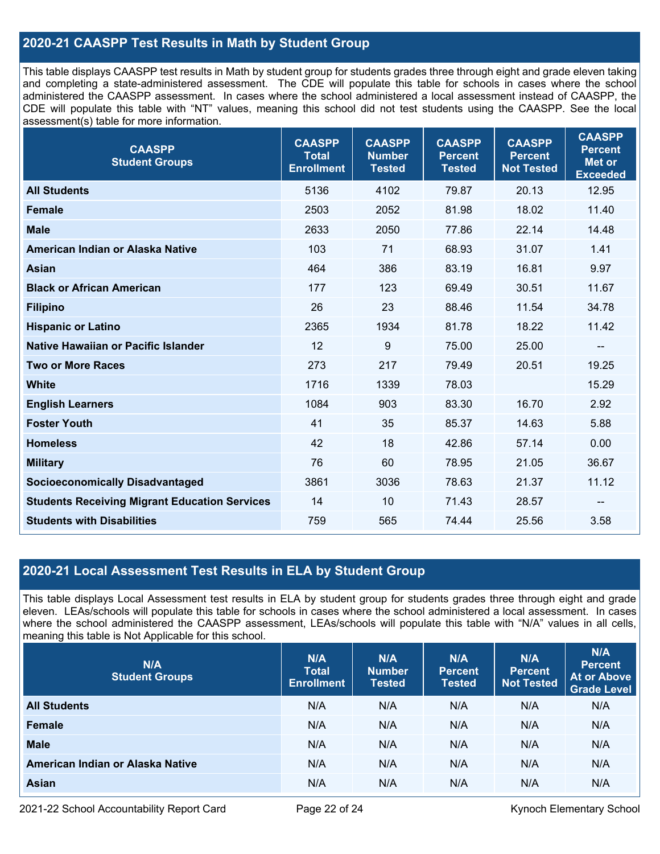## **2020-21 CAASPP Test Results in Math by Student Group**

This table displays CAASPP test results in Math by student group for students grades three through eight and grade eleven taking and completing a state-administered assessment. The CDE will populate this table for schools in cases where the school administered the CAASPP assessment. In cases where the school administered a local assessment instead of CAASPP, the CDE will populate this table with "NT" values, meaning this school did not test students using the CAASPP. See the local assessment(s) table for more information.

| <b>CAASPP</b><br><b>Student Groups</b>               | <b>CAASPP</b><br><b>Total</b><br><b>Enrollment</b> | <b>CAASPP</b><br><b>Number</b><br><b>Tested</b> | <b>CAASPP</b><br><b>Percent</b><br><b>Tested</b> | <b>CAASPP</b><br><b>Percent</b><br><b>Not Tested</b> | <b>CAASPP</b><br><b>Percent</b><br><b>Met or</b><br><b>Exceeded</b> |
|------------------------------------------------------|----------------------------------------------------|-------------------------------------------------|--------------------------------------------------|------------------------------------------------------|---------------------------------------------------------------------|
| <b>All Students</b>                                  | 5136                                               | 4102                                            | 79.87                                            | 20.13                                                | 12.95                                                               |
| <b>Female</b>                                        | 2503                                               | 2052                                            | 81.98                                            | 18.02                                                | 11.40                                                               |
| <b>Male</b>                                          | 2633                                               | 2050                                            | 77.86                                            | 22.14                                                | 14.48                                                               |
| American Indian or Alaska Native                     | 103                                                | 71                                              | 68.93                                            | 31.07                                                | 1.41                                                                |
| <b>Asian</b>                                         | 464                                                | 386                                             | 83.19                                            | 16.81                                                | 9.97                                                                |
| <b>Black or African American</b>                     | 177                                                | 123                                             | 69.49                                            | 30.51                                                | 11.67                                                               |
| <b>Filipino</b>                                      | 26                                                 | 23                                              | 88.46                                            | 11.54                                                | 34.78                                                               |
| <b>Hispanic or Latino</b>                            | 2365                                               | 1934                                            | 81.78                                            | 18.22                                                | 11.42                                                               |
| Native Hawaiian or Pacific Islander                  | 12                                                 | 9                                               | 75.00                                            | 25.00                                                | $\overline{\phantom{a}}$                                            |
| <b>Two or More Races</b>                             | 273                                                | 217                                             | 79.49                                            | 20.51                                                | 19.25                                                               |
| <b>White</b>                                         | 1716                                               | 1339                                            | 78.03                                            |                                                      | 15.29                                                               |
| <b>English Learners</b>                              | 1084                                               | 903                                             | 83.30                                            | 16.70                                                | 2.92                                                                |
| <b>Foster Youth</b>                                  | 41                                                 | 35                                              | 85.37                                            | 14.63                                                | 5.88                                                                |
| <b>Homeless</b>                                      | 42                                                 | 18                                              | 42.86                                            | 57.14                                                | 0.00                                                                |
| <b>Military</b>                                      | 76                                                 | 60                                              | 78.95                                            | 21.05                                                | 36.67                                                               |
| <b>Socioeconomically Disadvantaged</b>               | 3861                                               | 3036                                            | 78.63                                            | 21.37                                                | 11.12                                                               |
| <b>Students Receiving Migrant Education Services</b> | 14                                                 | 10                                              | 71.43                                            | 28.57                                                | $\overline{\phantom{a}}$                                            |
| <b>Students with Disabilities</b>                    | 759                                                | 565                                             | 74.44                                            | 25.56                                                | 3.58                                                                |

## **2020-21 Local Assessment Test Results in ELA by Student Group**

This table displays Local Assessment test results in ELA by student group for students grades three through eight and grade eleven. LEAs/schools will populate this table for schools in cases where the school administered a local assessment. In cases where the school administered the CAASPP assessment, LEAs/schools will populate this table with "N/A" values in all cells, meaning this table is Not Applicable for this school.

| N/A<br><b>Student Groups</b>     | N/A<br><b>Total</b><br><b>Enrollment</b> | N/A<br><b>Number</b><br><b>Tested</b> | N/A<br><b>Percent</b><br><b>Tested</b> | N/A<br><b>Percent</b><br><b>Not Tested</b> | N/A<br><b>Percent</b><br><b>At or Above</b><br><b>Grade Level</b> |
|----------------------------------|------------------------------------------|---------------------------------------|----------------------------------------|--------------------------------------------|-------------------------------------------------------------------|
| <b>All Students</b>              | N/A                                      | N/A                                   | N/A                                    | N/A                                        | N/A                                                               |
| <b>Female</b>                    | N/A                                      | N/A                                   | N/A                                    | N/A                                        | N/A                                                               |
| <b>Male</b>                      | N/A                                      | N/A                                   | N/A                                    | N/A                                        | N/A                                                               |
| American Indian or Alaska Native | N/A                                      | N/A                                   | N/A                                    | N/A                                        | N/A                                                               |
| Asian                            | N/A                                      | N/A                                   | N/A                                    | N/A                                        | N/A                                                               |

2021-22 School Accountability Report Card **Page 22 of 24** Kynoch Elementary School Page 22 of 24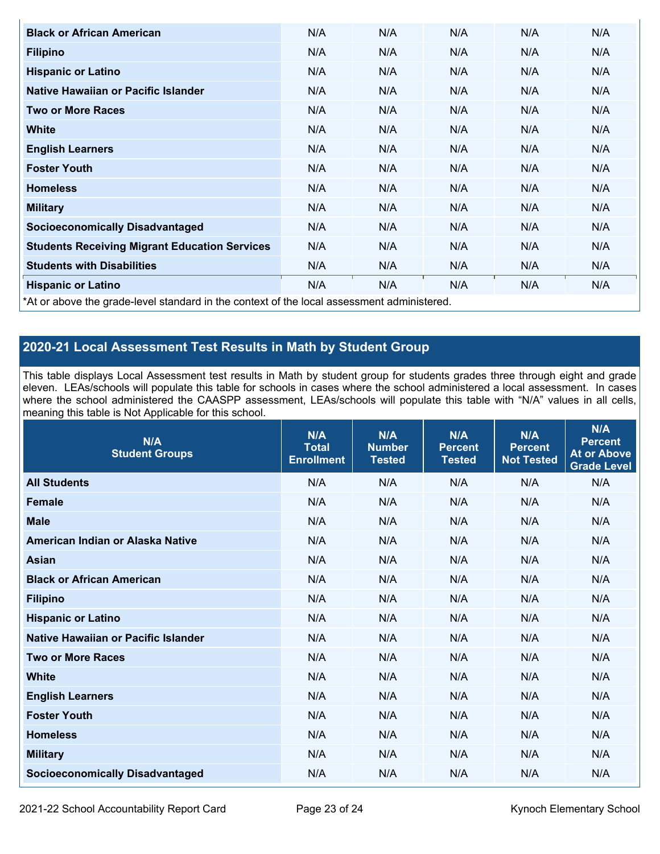| <b>Black or African American</b>                                                           | N/A | N/A | N/A | N/A | N/A |  |
|--------------------------------------------------------------------------------------------|-----|-----|-----|-----|-----|--|
| <b>Filipino</b>                                                                            | N/A | N/A | N/A | N/A | N/A |  |
| <b>Hispanic or Latino</b>                                                                  | N/A | N/A | N/A | N/A | N/A |  |
| Native Hawaiian or Pacific Islander                                                        | N/A | N/A | N/A | N/A | N/A |  |
| <b>Two or More Races</b>                                                                   | N/A | N/A | N/A | N/A | N/A |  |
| <b>White</b>                                                                               | N/A | N/A | N/A | N/A | N/A |  |
| <b>English Learners</b>                                                                    | N/A | N/A | N/A | N/A | N/A |  |
| <b>Foster Youth</b>                                                                        | N/A | N/A | N/A | N/A | N/A |  |
| <b>Homeless</b>                                                                            | N/A | N/A | N/A | N/A | N/A |  |
| <b>Military</b>                                                                            | N/A | N/A | N/A | N/A | N/A |  |
| <b>Socioeconomically Disadvantaged</b>                                                     | N/A | N/A | N/A | N/A | N/A |  |
| <b>Students Receiving Migrant Education Services</b>                                       | N/A | N/A | N/A | N/A | N/A |  |
| <b>Students with Disabilities</b>                                                          | N/A | N/A | N/A | N/A | N/A |  |
| <b>Hispanic or Latino</b>                                                                  | N/A | N/A | N/A | N/A | N/A |  |
| *At or above the grade-level standard in the context of the local assessment administered. |     |     |     |     |     |  |

## **2020-21 Local Assessment Test Results in Math by Student Group**

This table displays Local Assessment test results in Math by student group for students grades three through eight and grade eleven. LEAs/schools will populate this table for schools in cases where the school administered a local assessment. In cases where the school administered the CAASPP assessment, LEAs/schools will populate this table with "N/A" values in all cells, meaning this table is Not Applicable for this school.

| N/A<br><b>Student Groups</b>           | N/A<br><b>Total</b><br><b>Enrollment</b> | N/A<br><b>Number</b><br><b>Tested</b> | N/A<br><b>Percent</b><br><b>Tested</b> | N/A<br><b>Percent</b><br><b>Not Tested</b> | N/A<br><b>Percent</b><br><b>At or Above</b><br><b>Grade Level</b> |
|----------------------------------------|------------------------------------------|---------------------------------------|----------------------------------------|--------------------------------------------|-------------------------------------------------------------------|
| <b>All Students</b>                    | N/A                                      | N/A                                   | N/A                                    | N/A                                        | N/A                                                               |
| <b>Female</b>                          | N/A                                      | N/A                                   | N/A                                    | N/A                                        | N/A                                                               |
| <b>Male</b>                            | N/A                                      | N/A                                   | N/A                                    | N/A                                        | N/A                                                               |
| American Indian or Alaska Native       | N/A                                      | N/A                                   | N/A                                    | N/A                                        | N/A                                                               |
| <b>Asian</b>                           | N/A                                      | N/A                                   | N/A                                    | N/A                                        | N/A                                                               |
| <b>Black or African American</b>       | N/A                                      | N/A                                   | N/A                                    | N/A                                        | N/A                                                               |
| <b>Filipino</b>                        | N/A                                      | N/A                                   | N/A                                    | N/A                                        | N/A                                                               |
| <b>Hispanic or Latino</b>              | N/A                                      | N/A                                   | N/A                                    | N/A                                        | N/A                                                               |
| Native Hawaiian or Pacific Islander    | N/A                                      | N/A                                   | N/A                                    | N/A                                        | N/A                                                               |
| <b>Two or More Races</b>               | N/A                                      | N/A                                   | N/A                                    | N/A                                        | N/A                                                               |
| <b>White</b>                           | N/A                                      | N/A                                   | N/A                                    | N/A                                        | N/A                                                               |
| <b>English Learners</b>                | N/A                                      | N/A                                   | N/A                                    | N/A                                        | N/A                                                               |
| <b>Foster Youth</b>                    | N/A                                      | N/A                                   | N/A                                    | N/A                                        | N/A                                                               |
| <b>Homeless</b>                        | N/A                                      | N/A                                   | N/A                                    | N/A                                        | N/A                                                               |
| <b>Military</b>                        | N/A                                      | N/A                                   | N/A                                    | N/A                                        | N/A                                                               |
| <b>Socioeconomically Disadvantaged</b> | N/A                                      | N/A                                   | N/A                                    | N/A                                        | N/A                                                               |